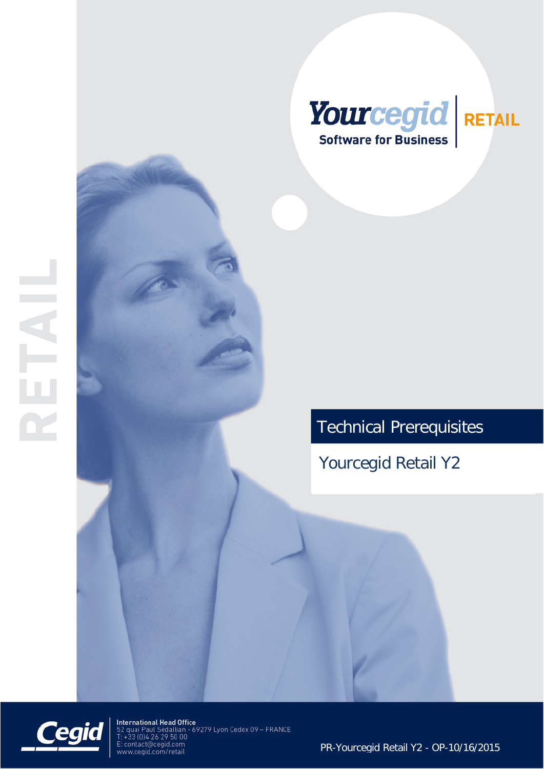

# Technical Prerequisites

Yourcegid Retail Y2



International Head Office<br>52 quai Paul Sédallian - 69279 Lyon Cedex 09 – FRANCE<br>T: +33 (0)4 26 29 50 00 E: contact@cegid.com<br>www.cegid.com/retail

PR-Yourcegid Retail Y2 - OP-10/16/2015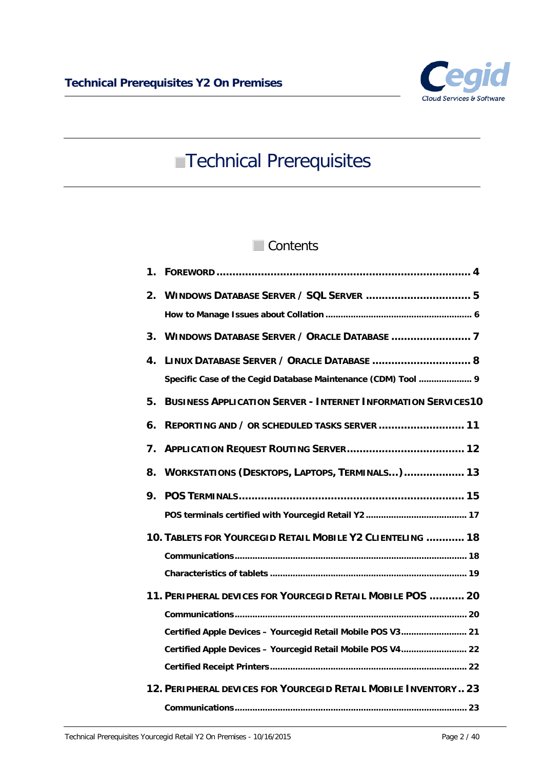

# **Technical Prerequisites**

## Contents

| 1. |                                                                      |
|----|----------------------------------------------------------------------|
| 2. |                                                                      |
|    |                                                                      |
| 3. |                                                                      |
| 4. | LINUX DATABASE SERVER / ORACLE DATABASE  8                           |
|    | Specific Case of the Cegid Database Maintenance (CDM) Tool  9        |
| 5. | <b>BUSINESS APPLICATION SERVER - INTERNET INFORMATION SERVICES10</b> |
| 6. | REPORTING AND / OR SCHEDULED TASKS SERVER  11                        |
| 7. |                                                                      |
| 8. | WORKSTATIONS (DESKTOPS, LAPTOPS, TERMINALS) 13                       |
| 9. |                                                                      |
|    |                                                                      |
|    | 10. TABLETS FOR YOURCEGID RETAIL MOBILE Y2 CLIENTELING  18           |
|    |                                                                      |
|    |                                                                      |
|    | 11. PERIPHERAL DEVICES FOR YOURCEGID RETAIL MOBILE POS  20           |
|    |                                                                      |
|    | Certified Apple Devices - Yourcegid Retail Mobile POS V3 21          |
|    | Certified Apple Devices - Yourcegid Retail Mobile POS V4 22          |
|    |                                                                      |
|    | 12. PERIPHERAL DEVICES FOR YOURCEGID RETAIL MOBILE INVENTORY 23      |
|    |                                                                      |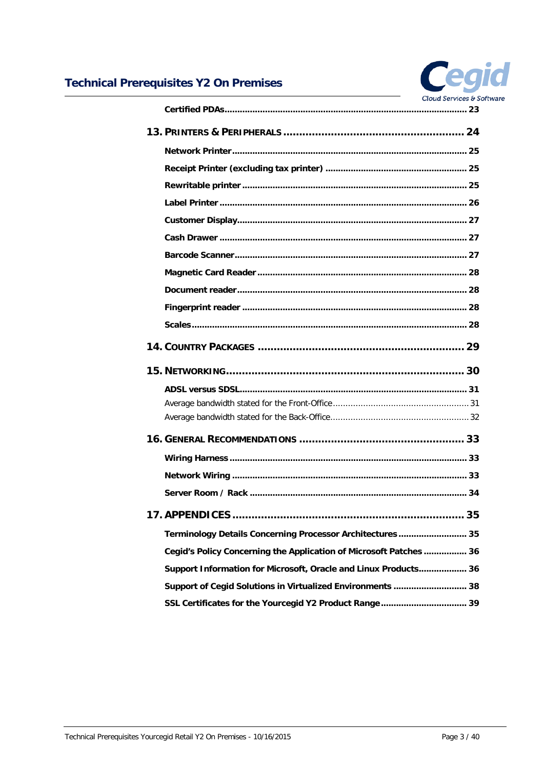

| Terminology Details Concerning Processor Architectures 35          |  |
|--------------------------------------------------------------------|--|
| Cegid's Policy Concerning the Application of Microsoft Patches  36 |  |
| Support Information for Microsoft, Oracle and Linux Products 36    |  |
| Support of Cegid Solutions in Virtualized Environments  38         |  |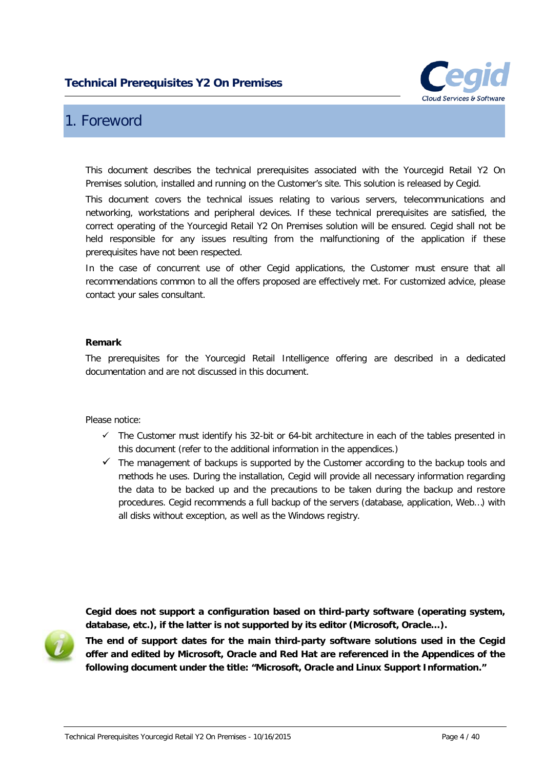

## <span id="page-3-0"></span>1. Foreword

This document describes the technical prerequisites associated with the Yourcegid Retail Y2 On Premises solution, installed and running on the Customer's site. This solution is released by Cegid.

This document covers the technical issues relating to various servers, telecommunications and networking, workstations and peripheral devices. If these technical prerequisites are satisfied, the correct operating of the Yourcegid Retail Y2 On Premises solution will be ensured. Cegid shall not be held responsible for any issues resulting from the malfunctioning of the application if these prerequisites have not been respected.

In the case of concurrent use of other Cegid applications, the Customer must ensure that all recommendations common to all the offers proposed are effectively met. For customized advice, please contact your sales consultant.

#### **Remark**

The prerequisites for the Yourcegid Retail Intelligence offering are described in a dedicated documentation and are not discussed in this document.

Please notice:

- $\checkmark$  The Customer must identify his 32-bit or 64-bit architecture in each of the tables presented in this document (refer to the additional information in the appendices.)
- $\checkmark$  The management of backups is supported by the Customer according to the backup tools and methods he uses. During the installation, Cegid will provide all necessary information regarding the data to be backed up and the precautions to be taken during the backup and restore procedures. Cegid recommends a full backup of the servers (database, application, Web…) with all disks without exception, as well as the Windows registry.

**Cegid does not support a configuration based on third-party software (operating system, database, etc.), if the latter is not supported by its editor (Microsoft, Oracle…).**



**The end of support dates for the main third-party software solutions used in the Cegid offer and edited by Microsoft, Oracle and Red Hat are referenced in the Appendices of the following document under the title: "Microsoft, Oracle and Linux Support Information."**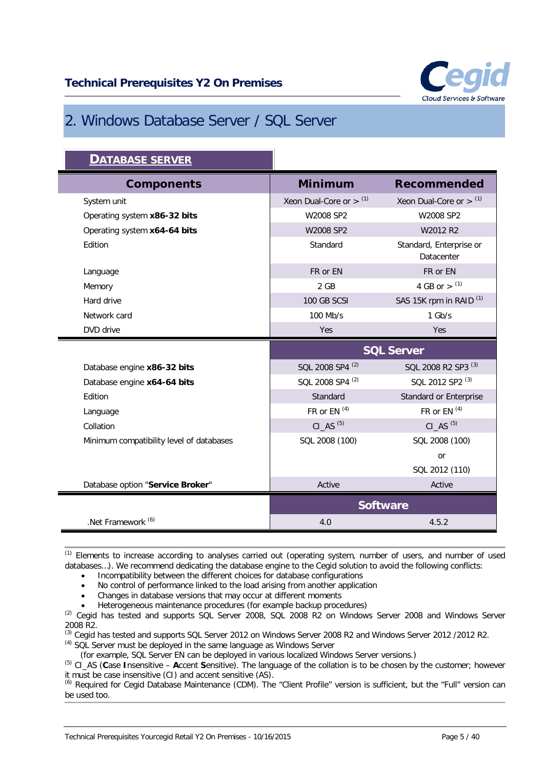

## <span id="page-4-0"></span>2. Windows Database Server / SQL Server

| <b>DATABASE SERVER</b>                   |                                       |                                       |
|------------------------------------------|---------------------------------------|---------------------------------------|
| <b>Components</b>                        | <b>Minimum</b>                        | <b>Recommended</b>                    |
| System unit                              | Xeon Dual-Core or $>$ (1)             | Xeon Dual-Core or $>$ (1)             |
| Operating system x86-32 bits             | W2008 SP2                             | W2008 SP2                             |
| Operating system x64-64 bits             | W2008 SP2                             | W2012 R2                              |
| Edition                                  | Standard                              | Standard, Enterprise or<br>Datacenter |
| Language                                 | FR or EN                              | FR or EN                              |
| Memory                                   | $2$ GB                                | 4 GB or $>$ (1)                       |
| Hard drive                               | 100 GB SCSI                           | SAS 15K rpm in RAID <sup>(1)</sup>    |
| Network card                             | 100 Mb/s                              | $1$ Gb/s                              |
| DVD drive                                | Yes                                   | Yes                                   |
|                                          | <b>SQL Server</b>                     |                                       |
| Database engine x86-32 bits              | SQL 2008 SP4 <sup>(2)</sup>           | SQL 2008 R2 SP3 <sup>(3)</sup>        |
|                                          |                                       |                                       |
| Database engine x64-64 bits              | SQL 2008 SP4 <sup>(2)</sup>           | SQL 2012 SP2 <sup>(3)</sup>           |
| Edition                                  | Standard                              | Standard or Enterprise                |
| Language                                 | FR or EN $(4)$                        | FR or EN <sup>(4)</sup>               |
| Collation                                | $CI$ <sub><math>AS</math></sub> $(5)$ | $CI$ <sub><math>AS</math></sub> $(5)$ |
| Minimum compatibility level of databases | SQL 2008 (100)                        | SQL 2008 (100)                        |
|                                          |                                       | or                                    |
|                                          |                                       | SQL 2012 (110)                        |
| Database option "Service Broker"         | Active                                | Active                                |
|                                          |                                       | <b>Software</b>                       |

(1) Elements to increase according to analyses carried out (operating system, number of users, and number of used databases…). We recommend dedicating the database engine to the Cegid solution to avoid the following conflicts:

• Incompatibility between the different choices for database configurations

• No control of performance linked to the load arising from another application

• Changes in database versions that may occur at different moments

• Heterogeneous maintenance procedures (for example backup procedures)

(2) Cegid has tested and supports SQL Server 2008, SQL 2008 R2 on Windows Server 2008 and Windows Server 2008 R2.

(3) Cegid has tested and supports SQL Server 2012 on Windows Server 2008 R2 and Windows Server 2012 /2012 R2.  $(4)$  SQL Server must be deployed in the same language as Windows Server

(for example, SQL Server EN can be deployed in various localized Windows Server versions.)

(5) CI\_AS (**C**ase **I**nsensitive – **A**ccent **S**ensitive). The language of the collation is to be chosen by the customer; however it must be case insensitive (CI) and accent sensitive (AS).

(6) Required for Cegid Database Maintenance (CDM). The "Client Profile" version is sufficient, but the "Full" version can be used too.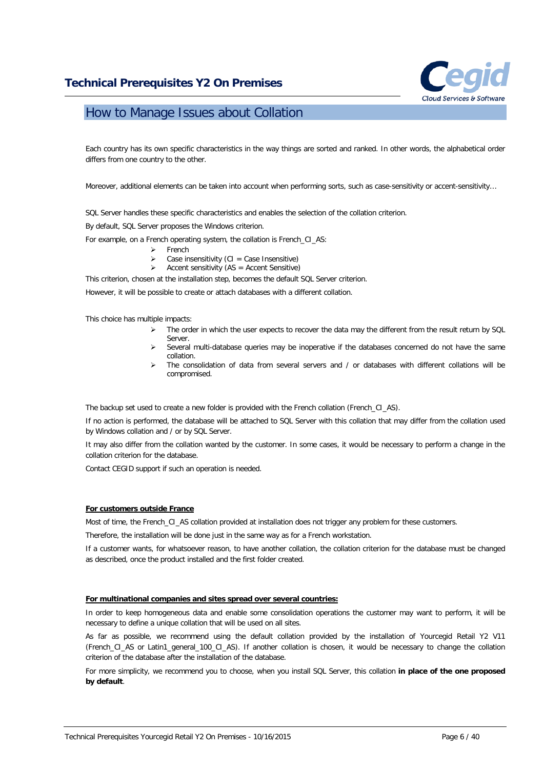

## <span id="page-5-0"></span>How to Manage Issues about Collation

Each country has its own specific characteristics in the way things are sorted and ranked. In other words, the alphabetical order differs from one country to the other.

Moreover, additional elements can be taken into account when performing sorts, such as case-sensitivity or accent-sensitivity…

SQL Server handles these specific characteristics and enables the selection of the collation criterion.

By default, SQL Server proposes the Windows criterion.

For example, on a French operating system, the collation is French\_CI\_AS:

- French
	- Case insensitivity  $(Cl = Case Insenstitute)$
	- Accent sensitivity (AS = Accent Sensitive)

This criterion, chosen at the installation step, becomes the default SQL Server criterion.

However, it will be possible to create or attach databases with a different collation.

This choice has multiple impacts:

- $\triangleright$  The order in which the user expects to recover the data may the different from the result return by SQL Server.
- Several multi-database queries may be inoperative if the databases concerned do not have the same collation.
- The consolidation of data from several servers and / or databases with different collations will be compromised.

The backup set used to create a new folder is provided with the French collation (French CI\_AS).

If no action is performed, the database will be attached to SQL Server with this collation that may differ from the collation used by Windows collation and / or by SQL Server.

It may also differ from the collation wanted by the customer. In some cases, it would be necessary to perform a change in the collation criterion for the database.

Contact CEGID support if such an operation is needed.

#### **For customers outside France**

Most of time, the French\_CI\_AS collation provided at installation does not trigger any problem for these customers.

Therefore, the installation will be done just in the same way as for a French workstation.

If a customer wants, for whatsoever reason, to have another collation, the collation criterion for the database must be changed as described, once the product installed and the first folder created.

#### **For multinational companies and sites spread over several countries:**

In order to keep homogeneous data and enable some consolidation operations the customer may want to perform, it will be necessary to define a unique collation that will be used on all sites.

As far as possible, we recommend using the default collation provided by the installation of Yourcegid Retail Y2 V11 (French\_CI\_AS or Latin1\_general\_100\_CI\_AS). If another collation is chosen, it would be necessary to change the collation criterion of the database after the installation of the database.

For more simplicity, we recommend you to choose, when you install SQL Server, this collation **in place of the one proposed by default**.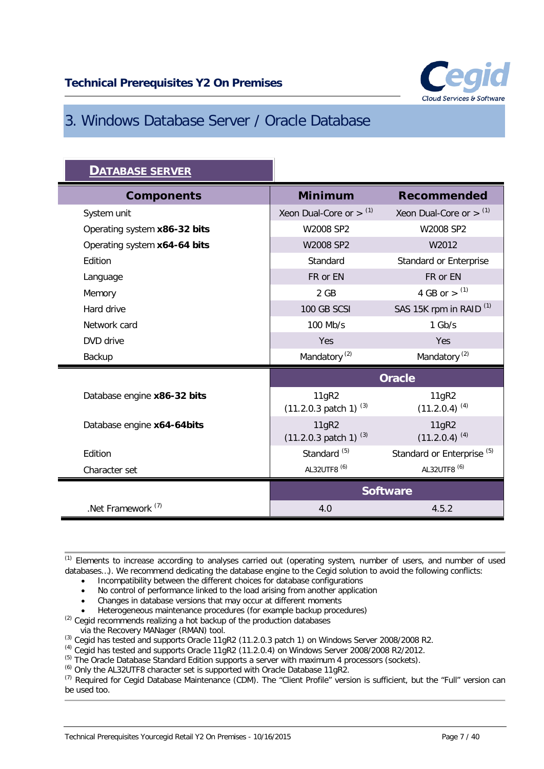

## <span id="page-6-0"></span>3. Windows Database Server / Oracle Database

| <u>DATABASE SERVER</u>        |                                              |                                       |
|-------------------------------|----------------------------------------------|---------------------------------------|
| <b>Components</b>             | <b>Minimum</b>                               | <b>Recommended</b>                    |
| System unit                   | Xeon Dual-Core or $>$ $(1)$                  | Xeon Dual-Core or $>$ (1)             |
| Operating system x86-32 bits  | W2008 SP2                                    | W2008 SP2                             |
| Operating system x64-64 bits  | W2008 SP2                                    | W2012                                 |
| Edition                       | Standard                                     | Standard or Enterprise                |
| Language                      | FR or EN                                     | FR or EN                              |
| Memory                        | 2 GB                                         | 4 GB or $>$ (1)                       |
| Hard drive                    | 100 GB SCSI                                  | SAS 15K rpm in RAID <sup>(1)</sup>    |
| Network card                  | 100 Mb/s                                     | $1$ Gb/s                              |
| DVD drive                     | Yes                                          | Yes                                   |
| Backup                        | Mandatory <sup>(2)</sup>                     | Mandatory <sup>(2)</sup>              |
|                               |                                              | <b>Oracle</b>                         |
| Database engine x86-32 bits   | 11gR2<br>$(11.2.0.3 \text{ patch } 1)^{(3)}$ | 11gR2<br>$(11.2.0.4)^{(4)}$           |
| Database engine x64-64bits    | 11gR2<br>$(11.2.0.3 \text{ patch } 1)^{(3)}$ | 11gR2<br>$(11.2.0.4)^{(4)}$           |
| Edition                       | Standard <sup>(5)</sup>                      | Standard or Enterprise <sup>(5)</sup> |
| Character set                 | AL32UTF8 <sup>(6)</sup>                      | AL32UTF8 <sup>(6)</sup>               |
|                               | <b>Software</b>                              |                                       |
| .Net Framework <sup>(7)</sup> | 4.0                                          | 4.5.2                                 |

(1) Elements to increase according to analyses carried out (operating system, number of users, and number of used databases…). We recommend dedicating the database engine to the Cegid solution to avoid the following conflicts:

- Incompatibility between the different choices for database configurations
- No control of performance linked to the load arising from another application
- Changes in database versions that may occur at different moments
- Heterogeneous maintenance procedures (for example backup procedures)
- (2) Cegid recommends realizing a hot backup of the production databases
- via the Recovery MANager (RMAN) tool.
- (3) Cegid has tested and supports Oracle 11gR2 (11.2.0.3 patch 1) on Windows Server 2008/2008 R2.
- $^{(4)}$  Cegid has tested and supports Oracle 11gR2 (11.2.0.4) on Windows Server 2008/2008 R2/2012.
- $^{(5)}$  The Oracle Database Standard Edition supports a server with maximum 4 processors (sockets).
- (6) Only the AL32UTF8 character set is supported with Oracle Database 11gR2.

(7) Required for Cegid Database Maintenance (CDM). The "Client Profile" version is sufficient, but the "Full" version can be used too.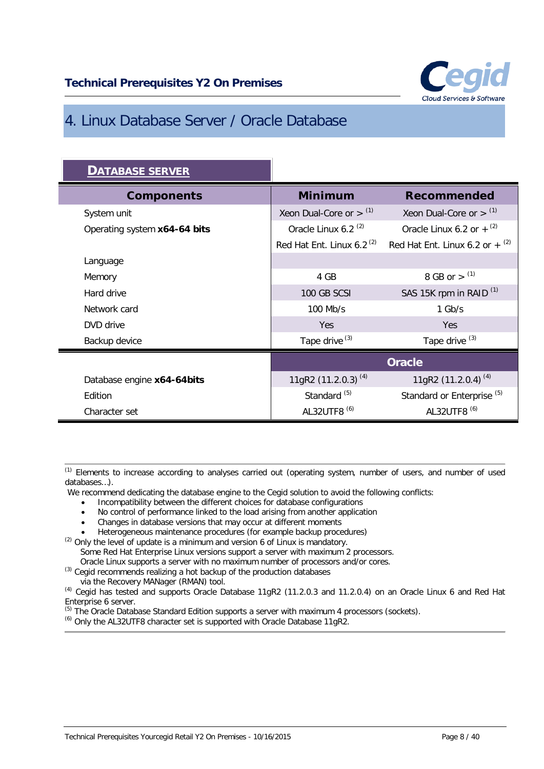

## <span id="page-7-0"></span>4. Linux Database Server / Oracle Database

| <b>DATABASE SERVER</b>       |                                 |                                              |
|------------------------------|---------------------------------|----------------------------------------------|
| <b>Components</b>            | <b>Minimum</b>                  | <b>Recommended</b>                           |
| System unit                  | Xeon Dual-Core or $>$ $(1)$     | Xeon Dual-Core or $>$ $(1)$                  |
| Operating system x64-64 bits | Oracle Linux 6.2 <sup>(2)</sup> | Oracle Linux 6.2 or $+$ <sup>(2)</sup>       |
|                              | Red Hat Ent. Linux 6.2 $(2)$    | Red Hat Ent. Linux 6.2 or $+$ <sup>(2)</sup> |
| Language                     |                                 |                                              |
| Memory                       | 4 GB                            | 8 GB or $>$ (1)                              |
| Hard drive                   | 100 GB SCSI                     | SAS 15K rpm in RAID <sup>(1)</sup>           |
| Network card                 | 100 Mb/s                        | $1$ Gb/s                                     |
| DVD drive                    | Yes                             | Yes                                          |
| Backup device                | Tape drive <sup>(3)</sup>       | Tape drive <sup>(3)</sup>                    |
|                              | <b>Oracle</b>                   |                                              |
| Database engine x64-64bits   | 11gR2 (11.2.0.3) <sup>(4)</sup> | 11gR2 (11.2.0.4) <sup>(4)</sup>              |
| Edition                      | Standard <sup>(5)</sup>         | Standard or Enterprise <sup>(5)</sup>        |
| Character set                | AL32UTF8 <sup>(6)</sup>         | AL32UTF8 <sup>(6)</sup>                      |

(1) Elements to increase according to analyses carried out (operating system, number of users, and number of used databases…).

We recommend dedicating the database engine to the Cegid solution to avoid the following conflicts:

- Incompatibility between the different choices for database configurations
- No control of performance linked to the load arising from another application
- Changes in database versions that may occur at different moments
- Heterogeneous maintenance procedures (for example backup procedures)

 $(2)$  Only the level of update is a minimum and version 6 of Linux is mandatory. Some Red Hat Enterprise Linux versions support a server with maximum 2 processors.

Oracle Linux supports a server with no maximum number of processors and/or cores.

<sup>(3)</sup> Cegid recommends realizing a hot backup of the production databases

via the Recovery MANager (RMAN) tool.

(4) Cegid has tested and supports Oracle Database 11gR2 (11.2.0.3 and 11.2.0.4) on an Oracle Linux 6 and Red Hat Enterprise 6 server.

 $^{(5)}$  The Oracle Database Standard Edition supports a server with maximum 4 processors (sockets).

(6) Only the AL32UTF8 character set is supported with Oracle Database 11gR2.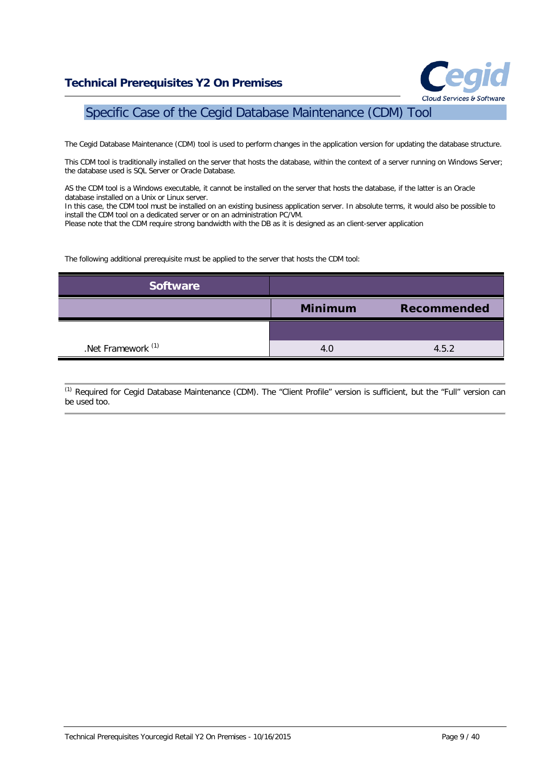

## <span id="page-8-0"></span>Specific Case of the Cegid Database Maintenance (CDM) Tool

The Cegid Database Maintenance (CDM) tool is used to perform changes in the application version for updating the database structure.

This CDM tool is traditionally installed on the server that hosts the database, within the context of a server running on Windows Server; the database used is SQL Server or Oracle Database.

AS the CDM tool is a Windows executable, it cannot be installed on the server that hosts the database, if the latter is an Oracle database installed on a Unix or Linux server.

In this case, the CDM tool must be installed on an existing business application server. In absolute terms, it would also be possible to install the CDM tool on a dedicated server or on an administration PC/VM.

Please note that the CDM require strong bandwidth with the DB as it is designed as an client-server application

The following additional prerequisite must be applied to the server that hosts the CDM tool:

| <b>Software</b>               |                |                    |
|-------------------------------|----------------|--------------------|
|                               | <b>Minimum</b> | <b>Recommended</b> |
|                               |                |                    |
| .Net Framework <sup>(1)</sup> | 4.0            | 4.5.2              |

(1) Required for Cegid Database Maintenance (CDM). The "Client Profile" version is sufficient, but the "Full" version can be used too.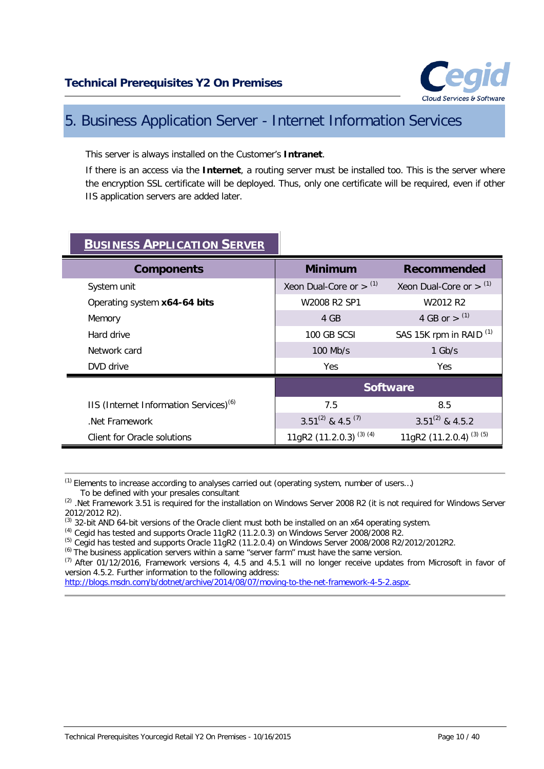

## <span id="page-9-0"></span>5. Business Application Server - Internet Information Services

This server is always installed on the Customer's **Intranet**.

If there is an access via the **Internet**, a routing server must be installed too. This is the server where the encryption SSL certificate will be deployed. Thus, only one certificate will be required, even if other IIS application servers are added later.

| <b>BUSINESS APPLICATION SERVER</b>                 |                             |                                    |
|----------------------------------------------------|-----------------------------|------------------------------------|
| <b>Components</b>                                  | <b>Minimum</b>              | <b>Recommended</b>                 |
| System unit                                        | Xeon Dual-Core or $>$ $(1)$ | Xeon Dual-Core or $>$ $(1)$        |
| Operating system x64-64 bits                       | W2008 R2 SP1                | W2012 R2                           |
| Memory                                             | 4 GB                        | 4 GB or $>$ (1)                    |
| Hard drive                                         | 100 GB SCSI                 | SAS 15K rpm in RAID <sup>(1)</sup> |
| Network card                                       | $100$ Mb/s                  | $1$ Gb/s                           |
| DVD drive                                          | <b>Yes</b>                  | Yes.                               |
|                                                    |                             | <b>Software</b>                    |
| IIS (Internet Information Services) <sup>(6)</sup> | 7.5                         | 8.5                                |
| Net Framework                                      | $3.51^{(2)}$ & 4.5 $^{(7)}$ | $3.51^{(2)}$ & 4.5.2               |
| Client for Oracle solutions                        | 11gR2 $(11.2.0.3)^{(3)(4)}$ | 11gR2 (11.2.0.4) <sup>(3)(5)</sup> |

## **BUSINESS APPLICATION SERVER**

(1) Elements to increase according to analyses carried out (operating system, number of users…) To be defined with your presales consultant

<sup>(2)</sup> .Net Framework 3.51 is required for the installation on Windows Server 2008 R2 (it is not required for Windows Server 2012/2012 R2).

 $<sup>(3)</sup>$  32-bit AND 64-bit versions of the Oracle client must both be installed on an x64 operating system.</sup>

(4) Cegid has tested and supports Oracle 11gR2 (11.2.0.3) on Windows Server 2008/2008 R2.

(5) Cegid has tested and supports Oracle 11gR2 (11.2.0.4) on Windows Server 2008/2008 R2/2012/2012R2.

(6) The business application servers within a same "server farm" must have the same version.

 $(7)$  After 01/12/2016, Framework versions 4, 4.5 and 4.5.1 will no longer receive updates from Microsoft in favor of version 4.5.2. Further information to the following address: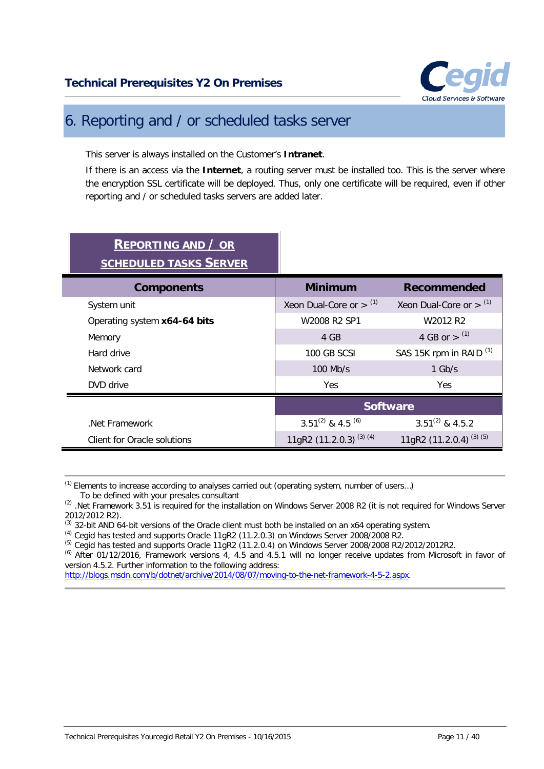

## <span id="page-10-0"></span>6. Reporting and / or scheduled tasks server

This server is always installed on the Customer's **Intranet**.

If there is an access via the **Internet**, a routing server must be installed too. This is the server where the encryption SSL certificate will be deployed. Thus, only one certificate will be required, even if other reporting and / or scheduled tasks servers are added later.

| <b>REPORTING AND / OR</b><br><b>SCHEDULED TASKS SERVER</b> |                                          |                                    |
|------------------------------------------------------------|------------------------------------------|------------------------------------|
| <b>Components</b>                                          | <b>Minimum</b>                           | <b>Recommended</b>                 |
| System unit                                                | Xeon Dual-Core or $>$ $(1)$              | Xeon Dual-Core or $>$ $(1)$        |
| Operating system x64-64 bits                               | W2008 R2 SP1                             | W2012 R2                           |
| Memory                                                     | 4 GB                                     | 4 GB or $>$ (1)                    |
| Hard drive                                                 | 100 GB SCSI                              | SAS 15K rpm in RAID <sup>(1)</sup> |
| Network card                                               | $100$ Mb/s                               | $1$ Gb/s                           |
| DVD drive                                                  | <b>Yes</b>                               | Yes.                               |
|                                                            | <b>Software</b>                          |                                    |
| Net Framework                                              | 3.51 <sup>(2)</sup> & 4.5 <sup>(6)</sup> | $3.51^{(2)}$ & 4.5.2               |
| Client for Oracle solutions                                | 11gR2 $(11.2.0.3)^{(3)(4)}$              | 11gR2 (11.2.0.4) <sup>(3)(5)</sup> |

(1) Elements to increase according to analyses carried out (operating system, number of users…) To be defined with your presales consultant

(2) .Net Framework 3.51 is required for the installation on Windows Server 2008 R2 (it is not required for Windows Server 2012/2012 R2).

 $<sup>(3)</sup>$  32-bit AND 64-bit versions of the Oracle client must both be installed on an x64 operating system.</sup>

(4) Cegid has tested and supports Oracle 11gR2 (11.2.0.3) on Windows Server 2008/2008 R2.

 $^{(5)}$  Cegid has tested and supports Oracle 11gR2 (11.2.0.4) on Windows Server 2008/2008 R2/2012/2012R2.

(6) After 01/12/2016, Framework versions 4, 4.5 and 4.5.1 will no longer receive updates from Microsoft in favor of version 4.5.2. Further information to the following address: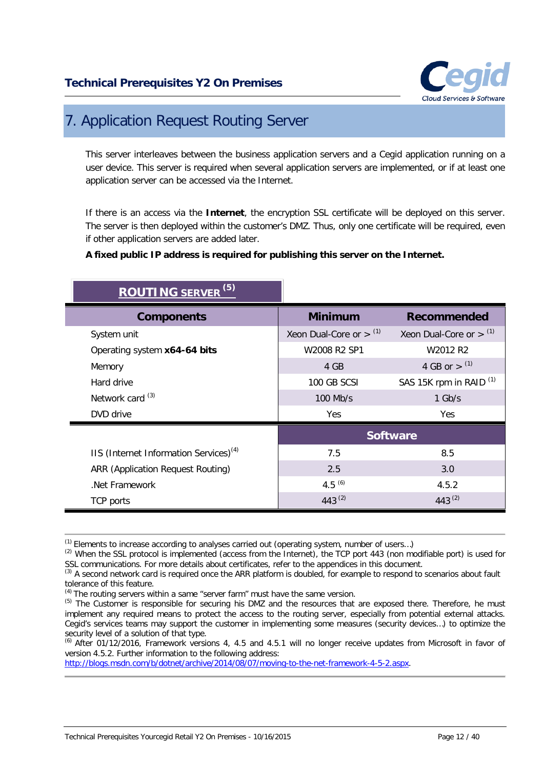

## <span id="page-11-0"></span>7. Application Request Routing Server

This server interleaves between the business application servers and a Cegid application running on a user device. This server is required when several application servers are implemented, or if at least one application server can be accessed via the Internet.

If there is an access via the **Internet**, the encryption SSL certificate will be deployed on this server. The server is then deployed within the customer's DMZ. Thus, only one certificate will be required, even if other application servers are added later.

#### **A fixed public IP address is required for publishing this server on the Internet.**

| <b>ROUTING SERVER<sup>(5)</sup></b>                |                           |                                    |
|----------------------------------------------------|---------------------------|------------------------------------|
| <b>Components</b>                                  | <b>Minimum</b>            | <b>Recommended</b>                 |
| System unit                                        | Xeon Dual-Core or $>$ (1) | Xeon Dual-Core or $>$ $(1)$        |
| Operating system x64-64 bits                       | W2008 R2 SP1              | W2012 R2                           |
| Memory                                             | 4 GB                      | 4 GB or $>$ (1)                    |
| Hard drive                                         | 100 GB SCSI               | SAS 15K rpm in RAID <sup>(1)</sup> |
| Network card <sup>(3)</sup>                        | $100$ Mb/s                | $1$ Gb/s                           |
| DVD drive                                          | <b>Yes</b>                | Yes.                               |
|                                                    |                           | <b>Software</b>                    |
| IIS (Internet Information Services) <sup>(4)</sup> | 7.5                       | 8.5                                |
| <b>ARR (Application Request Routing)</b>           | 2.5                       | 3.0                                |
| Net Framework                                      | 4.5 $(6)$                 | 4.5.2                              |
| TCP ports                                          | 443 $(2)$                 | 443 <sup>(2)</sup>                 |

<sup>(1)</sup> Elements to increase according to analyses carried out (operating system, number of users…)

(6) After 01/12/2016, Framework versions 4, 4.5 and 4.5.1 will no longer receive updates from Microsoft in favor of version 4.5.2. Further information to the following address:

<sup>(2)</sup> When the SSL protocol is implemented (access from the Internet), the TCP port 443 (non modifiable port) is used for SSL communications. For more details about certificates, refer to the appendices in this document.

<sup>&</sup>lt;sup>(3)</sup> A second network card is required once the ARR platform is doubled, for example to respond to scenarios about fault tolerance of this feature.

<sup>&</sup>lt;sup>(4)</sup> The routing servers within a same "server farm" must have the same version.

<sup>(5)</sup> The Customer is responsible for securing his DMZ and the resources that are exposed there. Therefore, he must implement any required means to protect the access to the routing server, especially from potential external attacks. Cegid's services teams may support the customer in implementing some measures (security devices…) to optimize the security level of a solution of that type.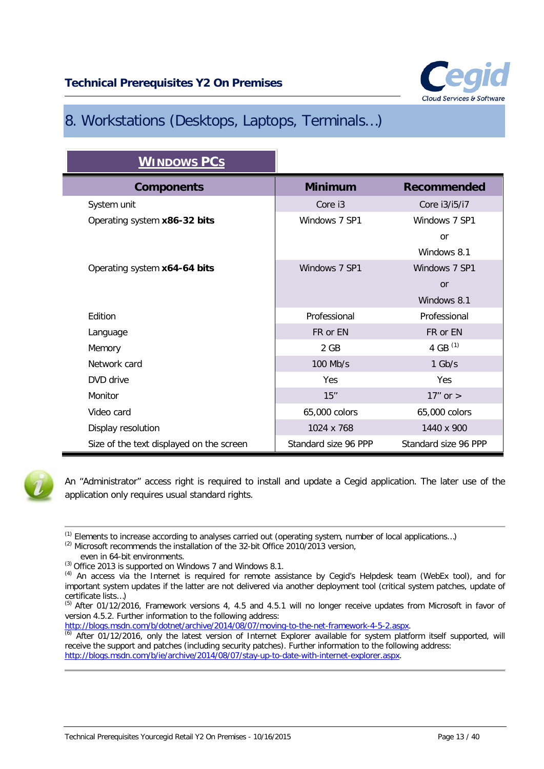

## <span id="page-12-0"></span>8. Workstations (Desktops, Laptops, Terminals…)

| <b>WINDOWS PCS</b>                       |                      |                      |
|------------------------------------------|----------------------|----------------------|
| <b>Components</b>                        | <b>Minimum</b>       | <b>Recommended</b>   |
| System unit                              | Core i3              | Core i3/i5/i7        |
| Operating system x86-32 bits             | Windows 7 SP1        | Windows 7 SP1        |
|                                          |                      | or                   |
|                                          |                      | Windows 8.1          |
| Operating system x64-64 bits             | Windows 7 SP1        | Windows 7 SP1        |
|                                          |                      | <sub>or</sub>        |
|                                          |                      | Windows 8.1          |
| Edition                                  | Professional         | Professional         |
| Language                                 | FR or EN             | FR or EN             |
| Memory                                   | 2 GB                 | 4 GB $(1)$           |
| Network card                             | 100 Mb/s             | $1$ Gb/s             |
| DVD drive                                | Yes                  | Yes                  |
| Monitor                                  | 15"                  | 17" or $>$           |
| Video card                               | 65,000 colors        | 65,000 colors        |
| Display resolution                       | 1024 x 768           | 1440 x 900           |
| Size of the text displayed on the screen | Standard size 96 PPP | Standard size 96 PPP |



An "Administrator" access right is required to install and update a Cegid application. The later use of the application only requires usual standard rights.

 $(1)$  Elements to increase according to analyses carried out (operating system, number of local applications...)

 $^{(2)}$  Microsoft recommends the installation of the 32-bit Office 2010/2013 version,

even in 64-bit environments.

<sup>(3)</sup> Office 2013 is supported on Windows 7 and Windows 8.1.

<sup>(4)</sup> An access via the Internet is required for remote assistance by Cegid's Helpdesk team (WebEx tool), and for important system updates if the latter are not delivered via another deployment tool (critical system patches, update of certificate lists…)

 $<sup>(5)</sup>$  After 01/12/2016, Framework versions 4, 4.5 and 4.5.1 will no longer receive updates from Microsoft in favor of</sup> version 4.5.2. Further information to the following address:

 $\overline{6}$ ) After 01/12/2016, only the latest version of Internet Explorer available for system platform itself supported, will receive the support and patches (including security patches). Further information to the following address: [http://blogs.msdn.com/b/ie/archive/2014/08/07/stay-up-to-date-with-internet-explorer.aspx.](http://blogs.msdn.com/b/ie/archive/2014/08/07/stay-up-to-date-with-internet-explorer.aspx)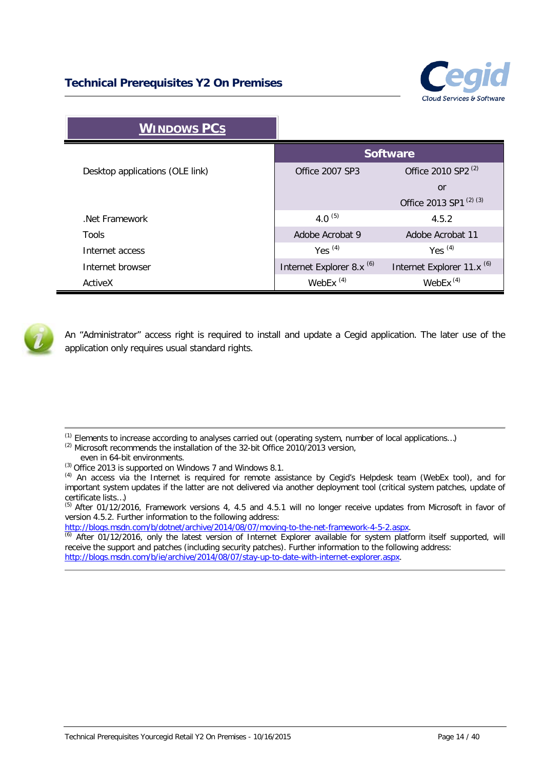

| <b>WINDOWS PCS</b>              |                                      |                                       |
|---------------------------------|--------------------------------------|---------------------------------------|
|                                 | <b>Software</b>                      |                                       |
| Desktop applications (OLE link) | Office 2007 SP3                      | Office 2010 SP2 <sup>(2)</sup>        |
|                                 |                                      | or                                    |
|                                 |                                      | Office 2013 SP1 <sup>(2)(3)</sup>     |
| Net Framework                   | 4.0 $(5)$                            | 4.5.2                                 |
| Tools                           | Adobe Acrobat 9                      | Adobe Acrobat 11                      |
| Internet access                 | Yes $(4)$                            | Yes $(4)$                             |
| Internet browser                | Internet Explorer 8.x <sup>(6)</sup> | Internet Explorer 11.x <sup>(6)</sup> |
| ActiveX                         | WebEx $(4)$                          | WebEx $(4)$                           |



An "Administrator" access right is required to install and update a Cegid application. The later use of the application only requires usual standard rights.

 $(1)$  Elements to increase according to analyses carried out (operating system, number of local applications...)

<sup>(2)</sup> Microsoft recommends the installation of the 32-bit Office 2010/2013 version,

even in 64-bit environments.

(3) Office 2013 is supported on Windows 7 and Windows 8.1.

(5) After 01/12/2016, Framework versions 4, 4.5 and 4.5.1 will no longer receive updates from Microsoft in favor of version 4.5.2. Further information to the following address:

[http://blogs.msdn.com/b/dotnet/archive/2014/08/07/moving-to-the-net-framework-4-5-2.aspx.](http://blogs.msdn.com/b/dotnet/archive/2014/08/07/moving-to-the-net-framework-4-5-2.aspx)

 $\overline{60}$  After 01/12/2016, only the latest version of Internet Explorer available for system platform itself supported, will receive the support and patches (including security patches). Further information to the following address: [http://blogs.msdn.com/b/ie/archive/2014/08/07/stay-up-to-date-with-internet-explorer.aspx.](http://blogs.msdn.com/b/ie/archive/2014/08/07/stay-up-to-date-with-internet-explorer.aspx)

<sup>(4)</sup> An access via the Internet is required for remote assistance by Cegid's Helpdesk team (WebEx tool), and for important system updates if the latter are not delivered via another deployment tool (critical system patches, update of certificate lists…)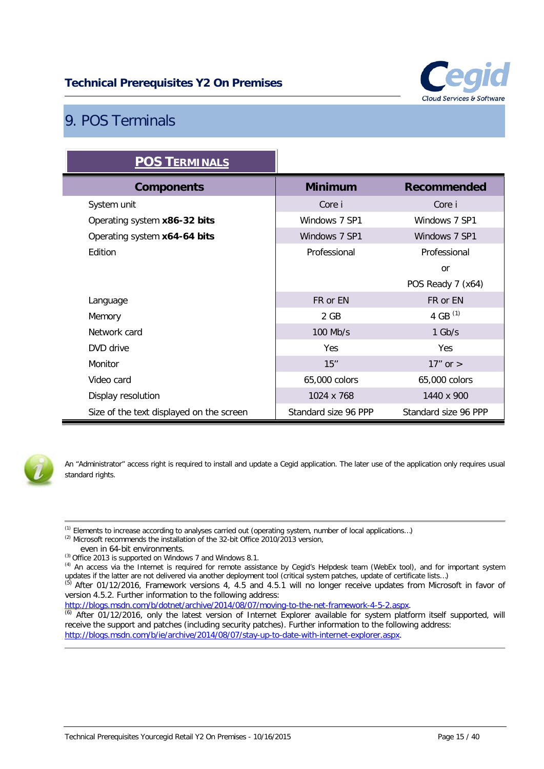

## <span id="page-14-0"></span>9. POS Terminals

| <b>POS TERMINALS</b>                     |                      |                      |
|------------------------------------------|----------------------|----------------------|
| <b>Components</b>                        | <b>Minimum</b>       | <b>Recommended</b>   |
| System unit                              | Core i               | Core i               |
| Operating system x86-32 bits             | Windows 7 SP1        | Windows 7 SP1        |
| Operating system x64-64 bits             | Windows 7 SP1        | Windows 7 SP1        |
| Edition                                  | Professional         | Professional         |
|                                          |                      | <b>or</b>            |
|                                          |                      | POS Ready 7 (x64)    |
| Language                                 | FR or EN             | FR or EN             |
| Memory                                   | 2 GB                 | 4 GB $(1)$           |
| Network card                             | 100 Mb/s             | $1$ Gb/s             |
| DVD drive                                | Yes                  | Yes                  |
| Monitor                                  | 15"                  | $17"$ or $>$         |
| Video card                               | 65,000 colors        | 65,000 colors        |
| Display resolution                       | 1024 x 768           | 1440 x 900           |
| Size of the text displayed on the screen | Standard size 96 PPP | Standard size 96 PPP |



An "Administrator" access right is required to install and update a Cegid application. The later use of the application only requires usual standard rights.

(1) Elements to increase according to analyses carried out (operating system, number of local applications…)

<sup>(2)</sup> Microsoft recommends the installation of the 32-bit Office 2010/2013 version,

- even in 64-bit environments.
- (3) Office 2013 is supported on Windows 7 and Windows 8.1.

version 4.5.2. Further information to the following address:

[http://blogs.msdn.com/b/dotnet/archive/2014/08/07/moving-to-the-net-framework-4-5-2.aspx.](http://blogs.msdn.com/b/dotnet/archive/2014/08/07/moving-to-the-net-framework-4-5-2.aspx)

(6) After 01/12/2016, only the latest version of Internet Explorer available for system platform itself supported, will receive the support and patches (including security patches). Further information to the following address: [http://blogs.msdn.com/b/ie/archive/2014/08/07/stay-up-to-date-with-internet-explorer.aspx.](http://blogs.msdn.com/b/ie/archive/2014/08/07/stay-up-to-date-with-internet-explorer.aspx)

<sup>(4)</sup> An access via the Internet is required for remote assistance by Cegid's Helpdesk team (WebEx tool), and for important system updates if the latter are not delivered via another deployment tool (critical system patches, update of certificate lists…)  $(5)$  After 01/12/2016, Framework versions 4, 4.5 and 4.5.1 will no longer receive updates from Microsoft in favor of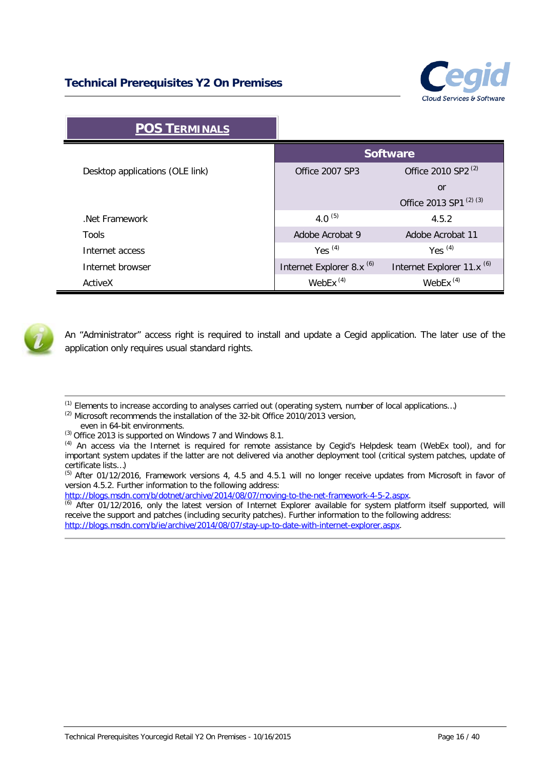

| <b>POS TERMINALS</b>            |                                      |                                       |
|---------------------------------|--------------------------------------|---------------------------------------|
|                                 |                                      | <b>Software</b>                       |
| Desktop applications (OLE link) | <b>Office 2007 SP3</b>               | Office 2010 SP2 <sup>(2)</sup>        |
|                                 |                                      | or                                    |
|                                 |                                      | Office 2013 SP1 <sup>(2)(3)</sup>     |
| Net Framework                   | 4.0 $(5)$                            | 4.5.2                                 |
| Tools                           | Adobe Acrobat 9                      | Adobe Acrobat 11                      |
| Internet access                 | Yes $(4)$                            | Yes $(4)$                             |
| Internet browser                | Internet Explorer 8.x <sup>(6)</sup> | Internet Explorer 11.x <sup>(6)</sup> |
| ActiveX                         | WebEx $(4)$                          | WebEx $(4)$                           |



An "Administrator" access right is required to install and update a Cegid application. The later use of the application only requires usual standard rights.

- $<sup>(1)</sup>$  Elements to increase according to analyses carried out (operating system, number of local applications...)</sup>
- <sup>(2)</sup> Microsoft recommends the installation of the 32-bit Office 2010/2013 version,
- even in 64-bit environments.

[http://blogs.msdn.com/b/dotnet/archive/2014/08/07/moving-to-the-net-framework-4-5-2.aspx.](http://blogs.msdn.com/b/dotnet/archive/2014/08/07/moving-to-the-net-framework-4-5-2.aspx)

(6) After 01/12/2016, only the latest version of Internet Explorer available for system platform itself supported, will receive the support and patches (including security patches). Further information to the following address: [http://blogs.msdn.com/b/ie/archive/2014/08/07/stay-up-to-date-with-internet-explorer.aspx.](http://blogs.msdn.com/b/ie/archive/2014/08/07/stay-up-to-date-with-internet-explorer.aspx)

<sup>(3)</sup> Office 2013 is supported on Windows 7 and Windows 8.1.

<sup>(4)</sup> An access via the Internet is required for remote assistance by Cegid's Helpdesk team (WebEx tool), and for important system updates if the latter are not delivered via another deployment tool (critical system patches, update of certificate lists…)

<sup>&</sup>lt;sup>(5)</sup> After 01/12/2016, Framework versions 4, 4.5 and 4.5.1 will no longer receive updates from Microsoft in favor of version 4.5.2. Further information to the following address: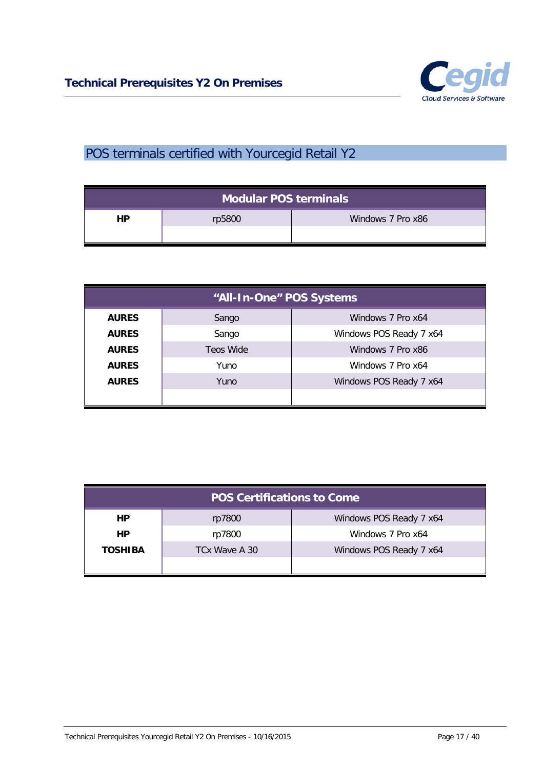

## <span id="page-16-0"></span>POS terminals certified with Yourcegid Retail Y2

| Modular POS terminals |        |                   |  |
|-----------------------|--------|-------------------|--|
| HP                    | rp5800 | Windows 7 Pro x86 |  |

| "All-In-One" POS Systems |           |                         |  |
|--------------------------|-----------|-------------------------|--|
| <b>AURES</b>             | Sango     | Windows 7 Pro x64       |  |
| <b>AURES</b>             | Sango     | Windows POS Ready 7 x64 |  |
| <b>AURES</b>             | Teos Wide | Windows 7 Pro x86       |  |
| <b>AURES</b>             | Yuno      | Windows 7 Pro x64       |  |
| <b>AURES</b>             | Yuno      | Windows POS Ready 7 x64 |  |
|                          |           |                         |  |

| <b>POS Certifications to Come</b> |               |                         |  |
|-----------------------------------|---------------|-------------------------|--|
| HP.                               | rp7800        | Windows POS Ready 7 x64 |  |
| HP.                               | rp7800        | Windows 7 Pro x64       |  |
| <b>TOSHIBA</b>                    | TCx Wave A 30 | Windows POS Ready 7 x64 |  |
|                                   |               |                         |  |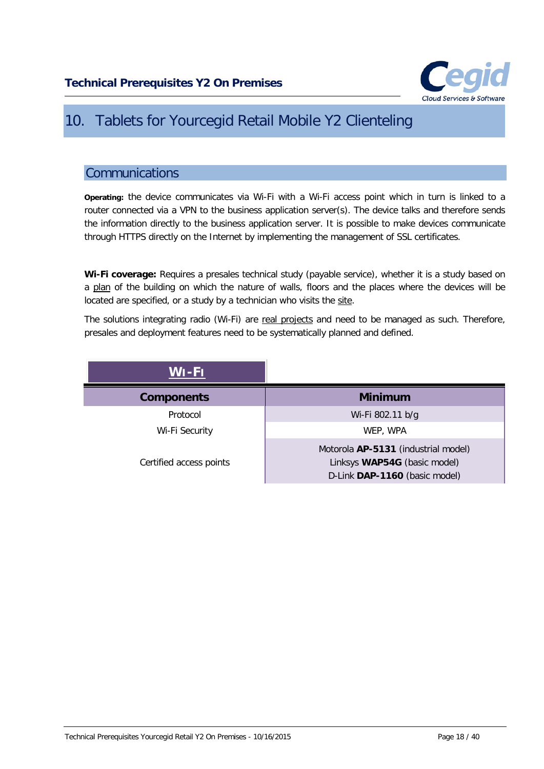

## <span id="page-17-0"></span>10. Tablets for Yourcegid Retail Mobile Y2 Clienteling

### <span id="page-17-1"></span>Communications

**Operating:** the device communicates via Wi-Fi with a Wi-Fi access point which in turn is linked to a router connected via a VPN to the business application server(s). The device talks and therefore sends the information directly to the business application server. It is possible to make devices communicate through HTTPS directly on the Internet by implementing the management of SSL certificates.

**Wi-Fi coverage:** Requires a presales technical study (payable service), whether it is a study based on a plan of the building on which the nature of walls, floors and the places where the devices will be located are specified, or a study by a technician who visits the site.

The solutions integrating radio (Wi-Fi) are real projects and need to be managed as such. Therefore, presales and deployment features need to be systematically planned and defined.

| WI-FI                   |                                                                                                      |
|-------------------------|------------------------------------------------------------------------------------------------------|
| <b>Components</b>       | <b>Minimum</b>                                                                                       |
| Protocol                | Wi-Fi 802.11 b/g                                                                                     |
| Wi-Fi Security          | WEP, WPA                                                                                             |
| Certified access points | Motorola AP-5131 (industrial model)<br>Linksys WAP54G (basic model)<br>D-Link DAP-1160 (basic model) |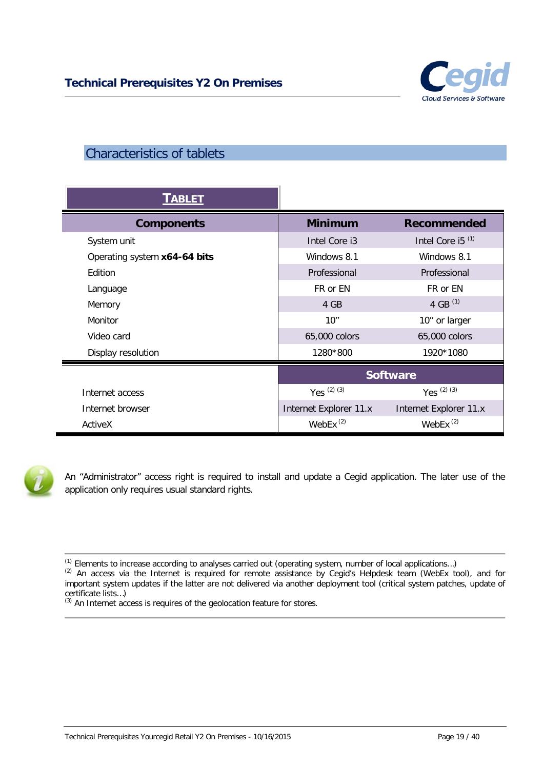

## <span id="page-18-0"></span>Characteristics of tablets

| <b>TABLET</b>                |                        |                        |
|------------------------------|------------------------|------------------------|
| <b>Components</b>            | <b>Minimum</b>         | <b>Recommended</b>     |
| System unit                  | Intel Core i3          | Intel Core i5 $(1)$    |
| Operating system x64-64 bits | Windows 8.1            | Windows 8.1            |
| Edition                      | Professional           | Professional           |
| Language                     | FR or EN               | FR or EN               |
| Memory                       | 4 GB                   | 4 GB $(1)$             |
| Monitor                      | 10''                   | 10" or larger          |
| Video card                   | 65,000 colors          | 65,000 colors          |
| Display resolution           | 1280*800               | 1920*1080              |
|                              | <b>Software</b>        |                        |
| Internet access              | Yes $(2)$ $(3)$        | Yes $(2)$ $(3)$        |
| Internet browser             | Internet Explorer 11.x | Internet Explorer 11.x |
| ActiveX                      | WebEx $(2)$            | WebEx $(2)$            |



An "Administrator" access right is required to install and update a Cegid application. The later use of the application only requires usual standard rights.

<sup>(1)</sup> Elements to increase according to analyses carried out (operating system, number of local applications…)

<sup>(2)</sup> An access via the Internet is required for remote assistance by Cegid's Helpdesk team (WebEx tool), and for important system updates if the latter are not delivered via another deployment tool (critical system patches, update of certificate lists…)

<sup>(3)</sup> An Internet access is requires of the geolocation feature for stores.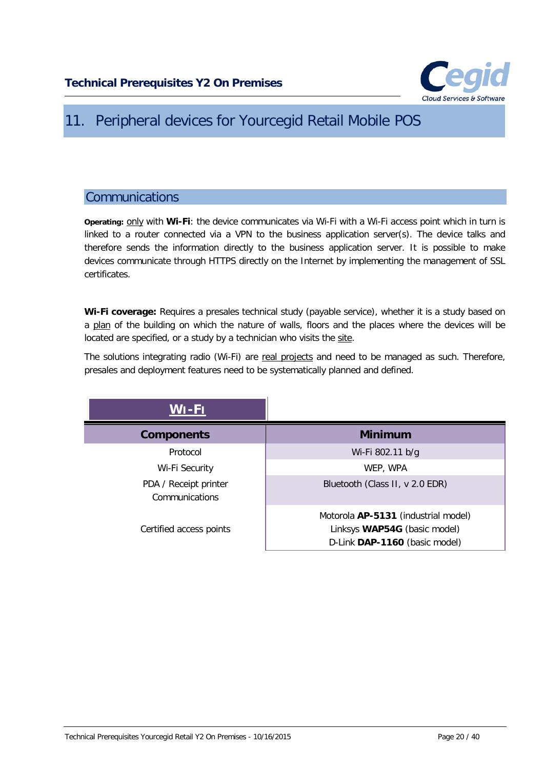

## <span id="page-19-0"></span>11. Peripheral devices for Yourcegid Retail Mobile POS

### <span id="page-19-1"></span>**Communications**

**Operating:** only with **Wi-Fi**: the device communicates via Wi-Fi with a Wi-Fi access point which in turn is linked to a router connected via a VPN to the business application server(s). The device talks and therefore sends the information directly to the business application server. It is possible to make devices communicate through HTTPS directly on the Internet by implementing the management of SSL certificates.

**Wi-Fi coverage:** Requires a presales technical study (payable service), whether it is a study based on a plan of the building on which the nature of walls, floors and the places where the devices will be located are specified, or a study by a technician who visits the site.

The solutions integrating radio (Wi-Fi) are real projects and need to be managed as such. Therefore, presales and deployment features need to be systematically planned and defined.

| WI-FI                                   |                                                                                                      |
|-----------------------------------------|------------------------------------------------------------------------------------------------------|
| <b>Components</b>                       | <b>Minimum</b>                                                                                       |
| Protocol                                | Wi-Fi 802.11 b/g                                                                                     |
| Wi-Fi Security                          | WEP, WPA                                                                                             |
| PDA / Receipt printer<br>Communications | Bluetooth (Class II, v 2.0 EDR)                                                                      |
| Certified access points                 | Motorola AP-5131 (industrial model)<br>Linksys WAP54G (basic model)<br>D-Link DAP-1160 (basic model) |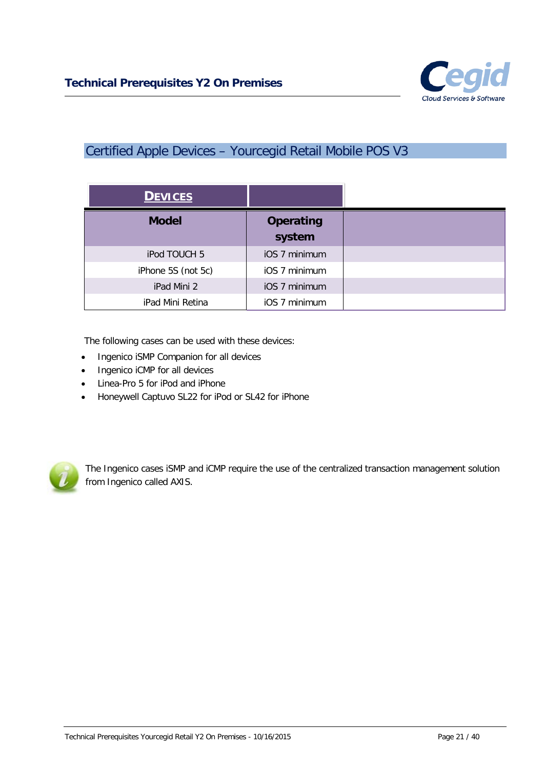

## <span id="page-20-0"></span>Certified Apple Devices – Yourcegid Retail Mobile POS V3

| <b>DEVICES</b>     |                            |
|--------------------|----------------------------|
| <b>Model</b>       | <b>Operating</b><br>system |
| iPod TOUCH 5       | iOS 7 minimum              |
| iPhone 5S (not 5c) | iOS 7 minimum              |
| iPad Mini 2        | iOS 7 minimum              |
| iPad Mini Retina   | iOS 7 minimum              |

The following cases can be used with these devices:

- Ingenico iSMP Companion for all devices
- Ingenico iCMP for all devices
- Linea-Pro 5 for iPod and iPhone
- Honeywell Captuvo SL22 for iPod or SL42 for iPhone



The Ingenico cases iSMP and iCMP require the use of the centralized transaction management solution from Ingenico called AXIS.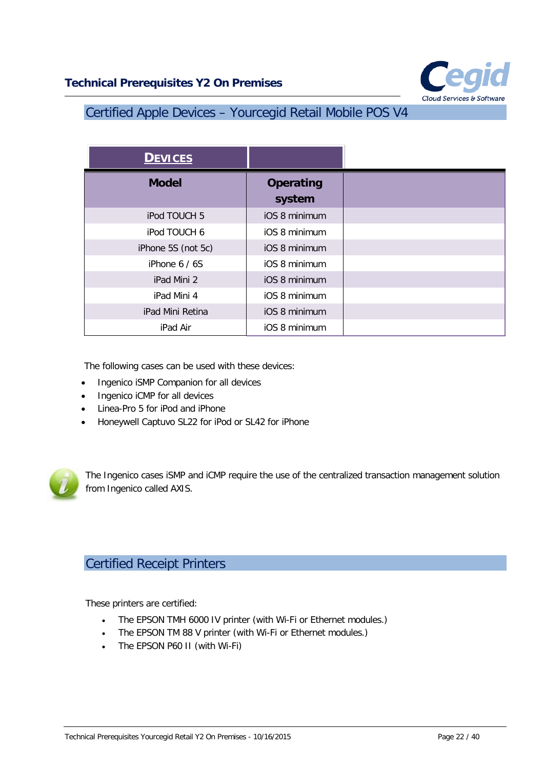

## <span id="page-21-0"></span>Certified Apple Devices – Yourcegid Retail Mobile POS V4

| <b>DEVICES</b>     |                            |
|--------------------|----------------------------|
| <b>Model</b>       | <b>Operating</b><br>system |
| iPod TOUCH 5       | iOS 8 minimum              |
| iPod TOUCH 6       | iOS 8 minimum              |
| iPhone 5S (not 5c) | iOS 8 minimum              |
| iPhone $6/6S$      | iOS 8 minimum              |
| iPad Mini 2        | iOS 8 minimum              |
| iPad Mini 4        | iOS 8 minimum              |
| iPad Mini Retina   | iOS 8 minimum              |
| iPad Air           | iOS 8 minimum              |

The following cases can be used with these devices:

- Ingenico iSMP Companion for all devices
- Ingenico iCMP for all devices
- Linea-Pro 5 for iPod and iPhone
- Honeywell Captuvo SL22 for iPod or SL42 for iPhone



The Ingenico cases iSMP and iCMP require the use of the centralized transaction management solution from Ingenico called AXIS.

## <span id="page-21-1"></span>Certified Receipt Printers

These printers are certified:

- The EPSON TMH 6000 IV printer (with Wi-Fi or Ethernet modules.)
- The EPSON TM 88 V printer (with Wi-Fi or Ethernet modules.)
- The EPSON P60 II (with Wi-Fi)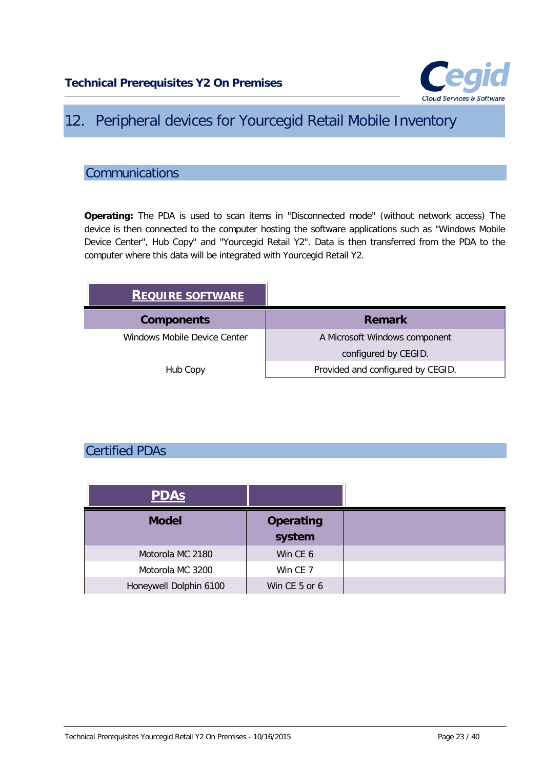

## <span id="page-22-0"></span>12. Peripheral devices for Yourcegid Retail Mobile Inventory

## <span id="page-22-1"></span>**Communications**

**Operating:** The PDA is used to scan items in "Disconnected mode" (without network access) The device is then connected to the computer hosting the software applications such as "Windows Mobile Device Center", Hub Copy" and "Yourcegid Retail Y2". Data is then transferred from the PDA to the computer where this data will be integrated with Yourcegid Retail Y2.

| <b>REQUIRE SOFTWARE</b>      |                                   |
|------------------------------|-----------------------------------|
| <b>Components</b>            | <b>Remark</b>                     |
| Windows Mobile Device Center | A Microsoft Windows component     |
|                              | configured by CEGID.              |
| Hub Copy                     | Provided and configured by CEGID. |

## <span id="page-22-2"></span>Certified PDAs

| <b>PDAS</b>            |                            |
|------------------------|----------------------------|
| <b>Model</b>           | <b>Operating</b><br>system |
| Motorola MC 2180       | Win CE 6                   |
| Motorola MC 3200       | Win CE 7                   |
| Honeywell Dolphin 6100 | Win CE 5 or 6              |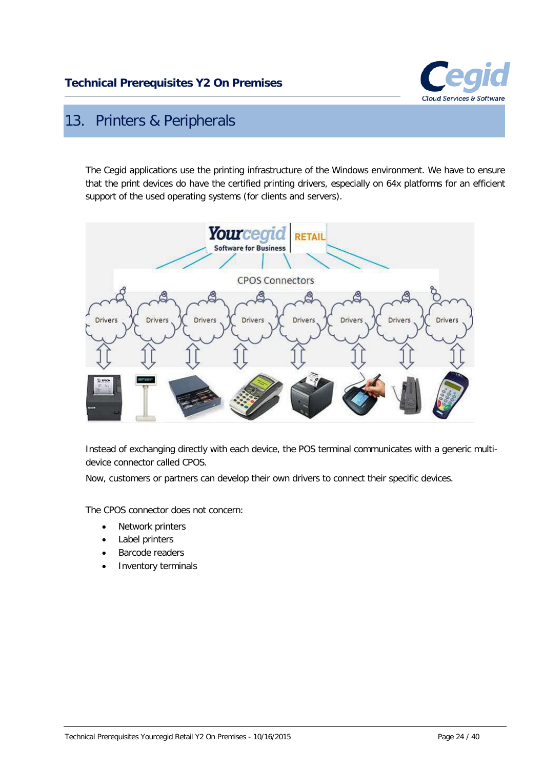

## <span id="page-23-0"></span>13. Printers & Peripherals

The Cegid applications use the printing infrastructure of the Windows environment. We have to ensure that the print devices do have the certified printing drivers, especially on 64x platforms for an efficient support of the used operating systems (for clients and servers).



Instead of exchanging directly with each device, the POS terminal communicates with a generic multidevice connector called CPOS.

Now, customers or partners can develop their own drivers to connect their specific devices.

The CPOS connector does not concern:

- Network printers
- Label printers
- Barcode readers
- Inventory terminals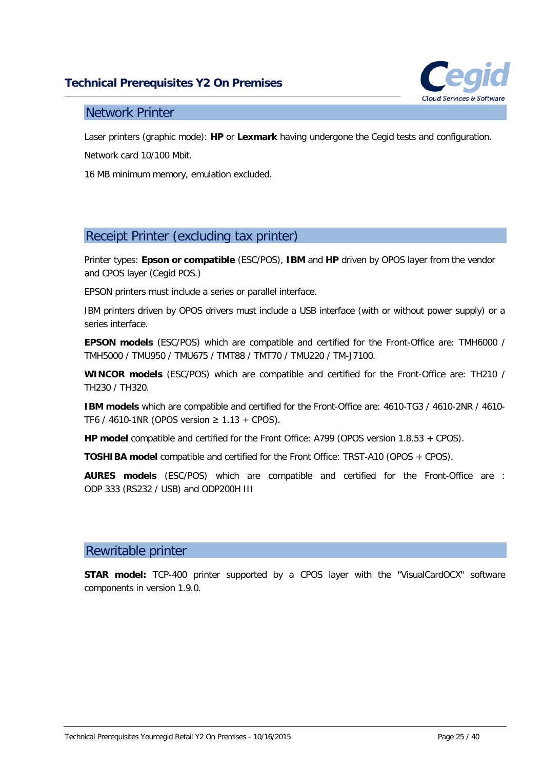

### <span id="page-24-0"></span>Network Printer

Laser printers (graphic mode): **HP** or **Lexmark** having undergone the Cegid tests and configuration.

Network card 10/100 Mbit.

16 MB minimum memory, emulation excluded.

## <span id="page-24-1"></span>Receipt Printer (excluding tax printer)

Printer types: **Epson or compatible** (ESC/POS), **IBM** and **HP** driven by OPOS layer from the vendor and CPOS layer (Cegid POS.)

EPSON printers must include a series or parallel interface.

IBM printers driven by OPOS drivers must include a USB interface (with or without power supply) or a series interface.

**EPSON models** (ESC/POS) which are compatible and certified for the Front-Office are: TMH6000 / TMH5000 / TMU950 / TMU675 / TMT88 / TMT70 / TMU220 / TM-J7100.

**WINCOR models** (ESC/POS) which are compatible and certified for the Front-Office are: TH210 / TH230 / TH320.

**IBM models** which are compatible and certified for the Front-Office are: 4610-TG3 / 4610-2NR / 4610- TF6 / 4610-1NR (OPOS version ≥ 1.13 + CPOS).

**HP model** compatible and certified for the Front Office: A799 (OPOS version 1.8.53 + CPOS).

**TOSHIBA model** compatible and certified for the Front Office: TRST-A10 (OPOS + CPOS).

**AURES models** (ESC/POS) which are compatible and certified for the Front-Office are : ODP 333 (RS232 / USB) and ODP200H III

### <span id="page-24-2"></span>Rewritable printer

**STAR model:** TCP-400 printer supported by a CPOS layer with the "VisualCardOCX" software components in version 1.9.0.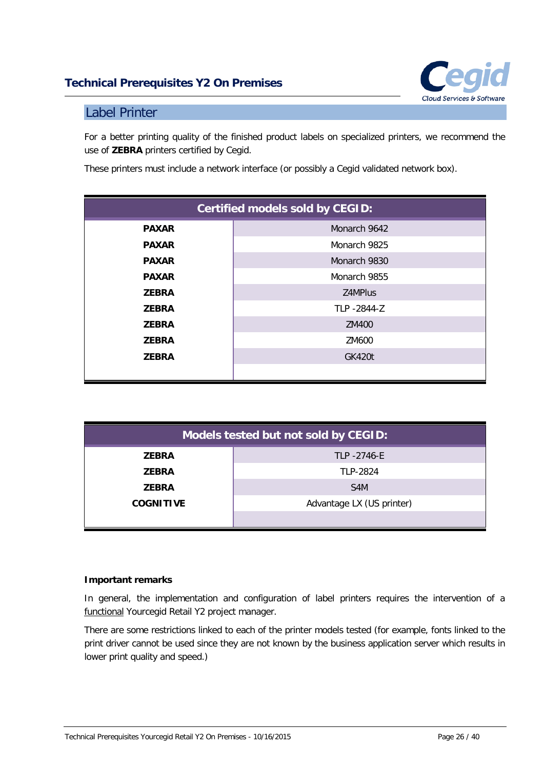

### <span id="page-25-0"></span>Label Printer

For a better printing quality of the finished product labels on specialized printers, we recommend the use of **ZEBRA** printers certified by Cegid.

These printers must include a network interface (or possibly a Cegid validated network box).

| <b>Certified models sold by CEGID:</b> |               |  |
|----------------------------------------|---------------|--|
| <b>PAXAR</b>                           | Monarch 9642  |  |
| <b>PAXAR</b>                           | Monarch 9825  |  |
| <b>PAXAR</b>                           | Monarch 9830  |  |
| <b>PAXAR</b>                           | Monarch 9855  |  |
| <b>ZEBRA</b>                           | Z4MPlus       |  |
| <b>ZEBRA</b>                           | TLP -2844-Z   |  |
| <b>ZEBRA</b>                           | ZM400         |  |
| <b>ZEBRA</b>                           | ZM600         |  |
| <b>ZEBRA</b>                           | <b>GK420t</b> |  |
|                                        |               |  |

| Models tested but not sold by CEGID: |                           |  |  |
|--------------------------------------|---------------------------|--|--|
| <b>ZEBRA</b>                         | TLP -2746-E               |  |  |
| <b>ZEBRA</b>                         | TLP-2824                  |  |  |
| <b>ZEBRA</b>                         | S <sub>4</sub> M          |  |  |
| <b>COGNITIVE</b>                     | Advantage LX (US printer) |  |  |
|                                      |                           |  |  |

#### **Important remarks**

In general, the implementation and configuration of label printers requires the intervention of a functional Yourcegid Retail Y2 project manager.

There are some restrictions linked to each of the printer models tested (for example, fonts linked to the print driver cannot be used since they are not known by the business application server which results in lower print quality and speed.)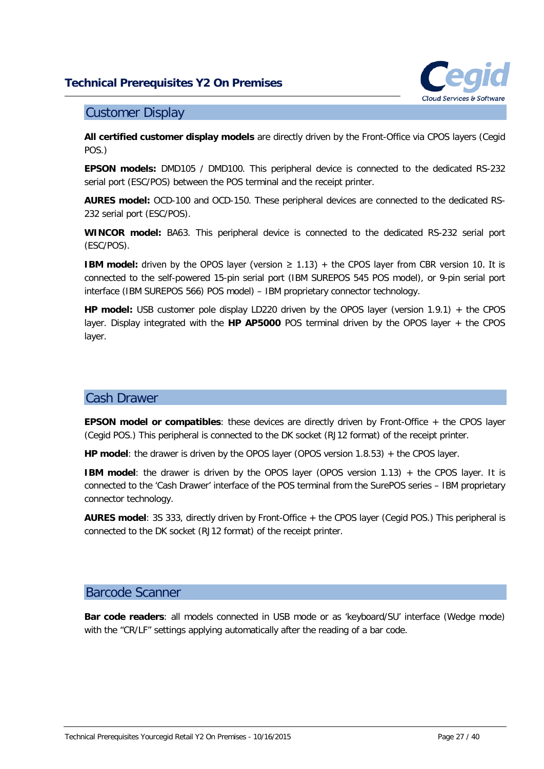

### <span id="page-26-0"></span>Customer Display

**All certified customer display models** are directly driven by the Front-Office via CPOS layers (Cegid POS.)

**EPSON models:** DMD105 / DMD100. This peripheral device is connected to the dedicated RS-232 serial port (ESC/POS) between the POS terminal and the receipt printer.

**AURES model:** OCD-100 and OCD-150. These peripheral devices are connected to the dedicated RS-232 serial port (ESC/POS).

**WINCOR model:** BA63. This peripheral device is connected to the dedicated RS-232 serial port (ESC/POS).

**IBM model:** driven by the OPOS layer (version  $\geq 1.13$ ) + the CPOS layer from CBR version 10. It is connected to the self-powered 15-pin serial port (IBM SUREPOS 545 POS model), or 9-pin serial port interface (IBM SUREPOS 566) POS model) – IBM proprietary connector technology.

**HP model:** USB customer pole display LD220 driven by the OPOS layer (version 1.9.1) + the CPOS layer. Display integrated with the **HP AP5000** POS terminal driven by the OPOS layer + the CPOS layer.

### <span id="page-26-1"></span>Cash Drawer

**EPSON model or compatibles**: these devices are directly driven by Front-Office + the CPOS layer (Cegid POS.) This peripheral is connected to the DK socket (RJ12 format) of the receipt printer.

**HP model**: the drawer is driven by the OPOS layer (OPOS version 1.8.53) + the CPOS layer.

**IBM model:** the drawer is driven by the OPOS layer (OPOS version 1.13) + the CPOS layer. It is connected to the 'Cash Drawer' interface of the POS terminal from the SurePOS series – IBM proprietary connector technology.

**AURES model**: 3S 333, directly driven by Front-Office + the CPOS layer (Cegid POS.) This peripheral is connected to the DK socket (RJ12 format) of the receipt printer.

#### <span id="page-26-2"></span>Barcode Scanner

**Bar code readers**: all models connected in USB mode or as 'keyboard/SU' interface (Wedge mode) with the "CR/LF" settings applying automatically after the reading of a bar code.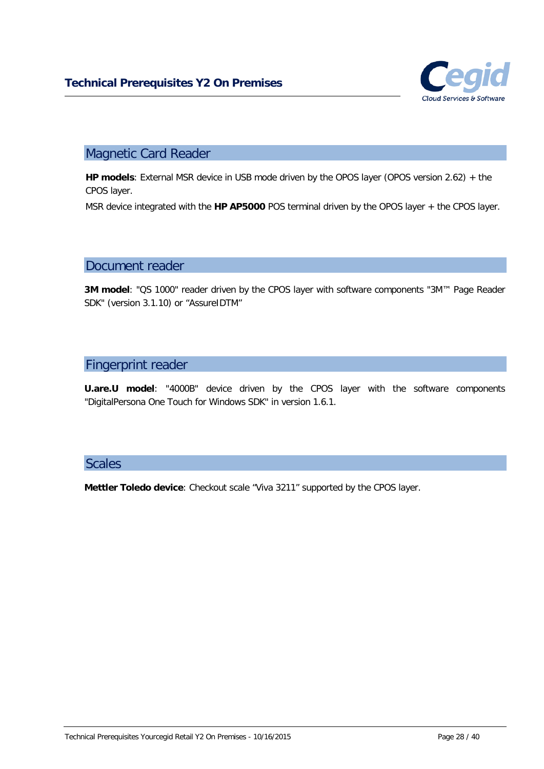

## <span id="page-27-0"></span>Magnetic Card Reader

**HP models**: External MSR device in USB mode driven by the OPOS layer (OPOS version 2.62) + the CPOS layer.

<span id="page-27-1"></span>MSR device integrated with the **HP AP5000** POS terminal driven by the OPOS layer + the CPOS layer.

#### Document reader

**3M model**: "QS 1000" reader driven by the CPOS layer with software components "3M™ Page Reader SDK" (version 3.1.10) or "AssureIDTM"

### <span id="page-27-2"></span>Fingerprint reader

**U.are.U model**: "4000B" device driven by the CPOS layer with the software components "DigitalPersona One Touch for Windows SDK" in version 1.6.1.

### <span id="page-27-3"></span>**Scales**

**Mettler Toledo device**: Checkout scale "Viva 3211" supported by the CPOS layer.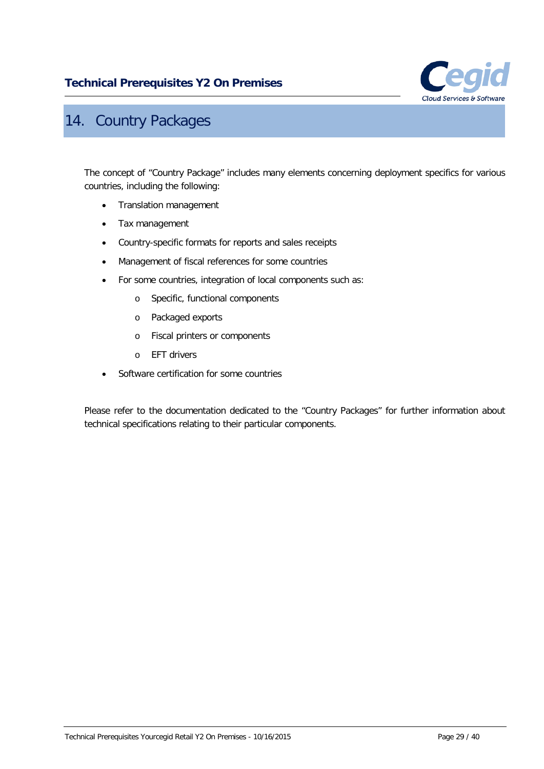

## <span id="page-28-0"></span>14. Country Packages

The concept of "Country Package" includes many elements concerning deployment specifics for various countries, including the following:

- Translation management
- Tax management
- Country-specific formats for reports and sales receipts
- Management of fiscal references for some countries
- For some countries, integration of local components such as:
	- o Specific, functional components
	- o Packaged exports
	- o Fiscal printers or components
	- o EFT drivers
- Software certification for some countries

Please refer to the documentation dedicated to the "Country Packages" for further information about technical specifications relating to their particular components.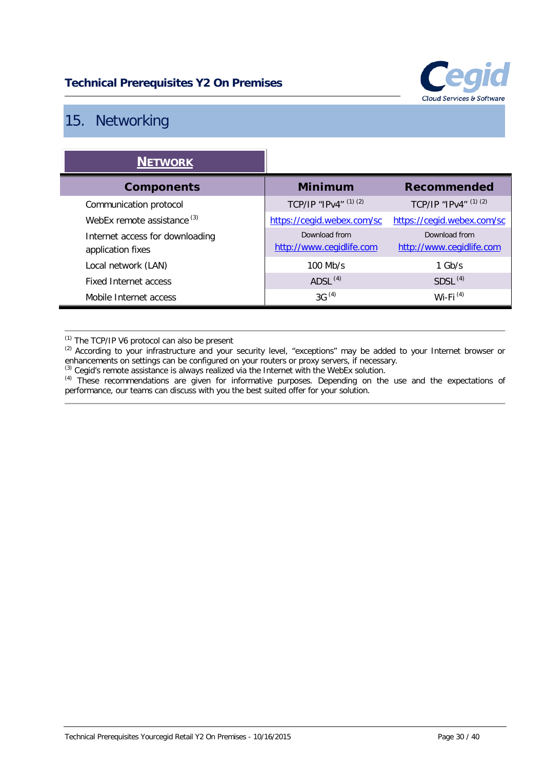

## <span id="page-29-0"></span>15. Networking

| <b>NETWORK</b>                                       |                                           |                                           |
|------------------------------------------------------|-------------------------------------------|-------------------------------------------|
| <b>Components</b>                                    | <b>Minimum</b>                            | Recommended                               |
| Communication protocol                               | TCP/IP "IPv4" (1) (2)                     | TCP/IP "IPv4" (1) (2)                     |
| WebEx remote assistance <sup>(3)</sup>               | https://cegid.webex.com/sc                | https://cegid.webex.com/sc                |
| Internet access for downloading<br>application fixes | Download from<br>http://www.cegidlife.com | Download from<br>http://www.cegidlife.com |
| Local network (LAN)                                  | $100$ Mb/s                                | $1$ Gb/s                                  |
| Fixed Internet access                                | ADSL $(4)$                                | SDSL <sup>(4)</sup>                       |
| Mobile Internet access                               | $3G^{(4)}$                                | Wi-Fi $(4)$                               |

(1) The TCP/IP V6 protocol can also be present

 $(2)$  According to your infrastructure and your security level, "exceptions" may be added to your Internet browser or enhancements on settings can be configured on your routers or proxy servers, if necessary.

 $<sup>(3)</sup>$  Cegid's remote assistance is always realized via the Internet with the WebEx solution.</sup>

<sup>(4)</sup> These recommendations are given for informative purposes. Depending on the use and the expectations of performance, our teams can discuss with you the best suited offer for your solution.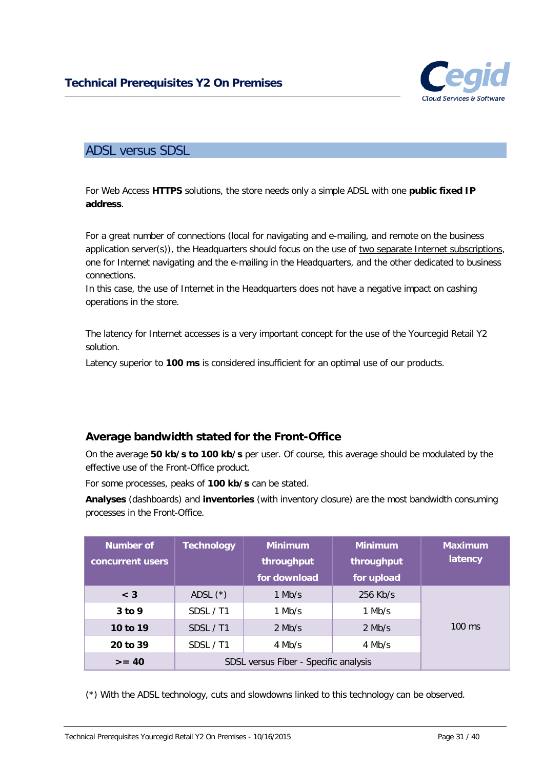

## <span id="page-30-0"></span>ADSL versus SDSL

For Web Access **HTTPS** solutions, the store needs only a simple ADSL with one **public fixed IP address**.

For a great number of connections (local for navigating and e-mailing, and remote on the business application server(s)), the Headquarters should focus on the use of two separate Internet subscriptions, one for Internet navigating and the e-mailing in the Headquarters, and the other dedicated to business connections.

In this case, the use of Internet in the Headquarters does not have a negative impact on cashing operations in the store.

The latency for Internet accesses is a very important concept for the use of the Yourcegid Retail Y2 solution.

Latency superior to **100 ms** is considered insufficient for an optimal use of our products.

### <span id="page-30-1"></span>**Average bandwidth stated for the Front-Office**

On the average **50 kb/s to 100 kb/s** per user. Of course, this average should be modulated by the effective use of the Front-Office product.

For some processes, peaks of **100 kb/s** can be stated.

**Analyses** (dashboards) and **inventories** (with inventory closure) are the most bandwidth consuming processes in the Front-Office.

| Number of<br>concurrent users | <b>Technology</b>                     | <b>Minimum</b><br>throughput<br>for download | <b>Minimum</b><br>throughput<br>for upload | <b>Maximum</b><br>latency |
|-------------------------------|---------------------------------------|----------------------------------------------|--------------------------------------------|---------------------------|
| $<$ 3                         | ADSL $(*)$                            | $1$ Mb/s                                     | 256 Kb/s                                   |                           |
| $3$ to 9                      | SDSL / T1                             | $1$ Mb/s                                     | $1$ Mb/s                                   |                           |
| 10 to 19                      | SDSL / T1                             | $2$ Mb/s                                     | $2$ Mb/s                                   | $100 \text{ ms}$          |
| 20 to 39                      | SDSL / T1                             | 4 Mb/s                                       | 4 Mb/s                                     |                           |
| $>= 40$                       | SDSL versus Fiber - Specific analysis |                                              |                                            |                           |

(\*) With the ADSL technology, cuts and slowdowns linked to this technology can be observed.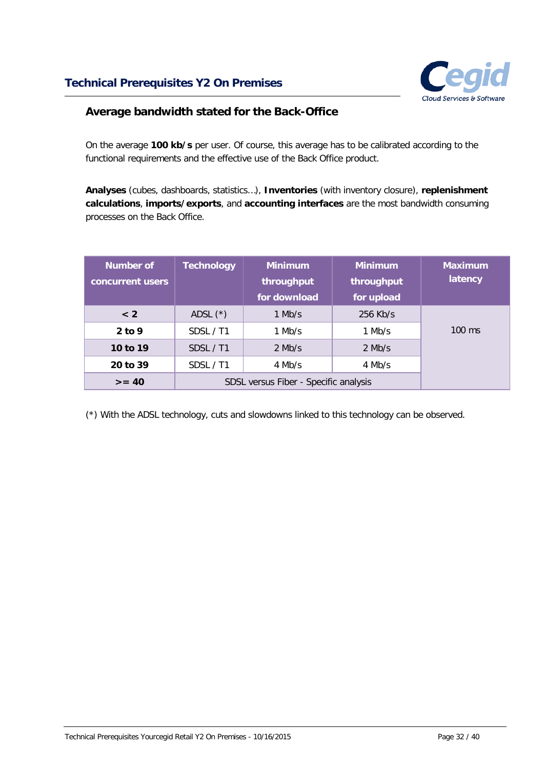

### <span id="page-31-0"></span>**Average bandwidth stated for the Back-Office**

On the average **100 kb/s** per user. Of course, this average has to be calibrated according to the functional requirements and the effective use of the Back Office product.

**Analyses** (cubes, dashboards, statistics…), **Inventories** (with inventory closure), **replenishment calculations**, **imports/exports**, and **accounting interfaces** are the most bandwidth consuming processes on the Back Office.

| Number of<br>concurrent users | <b>Technology</b>                     | <b>Minimum</b><br>throughput<br>for download | <b>Minimum</b><br>throughput<br>for upload | <b>Maximum</b><br>latency |
|-------------------------------|---------------------------------------|----------------------------------------------|--------------------------------------------|---------------------------|
| < 2                           | ADSL $(*)$                            | 1 Mb/s                                       | 256 Kb/s                                   |                           |
| $2$ to 9                      | SDSL / T1                             | $1$ Mb/s                                     | 1 Mb/s                                     | $100 \text{ ms}$          |
| 10 to 19                      | SDSL / T1                             | $2$ Mb/s                                     | $2$ Mb/s                                   |                           |
| 20 to 39                      | SDSL / T1                             | $4$ Mb/s                                     | 4 Mb/s                                     |                           |
| $>= 40$                       | SDSL versus Fiber - Specific analysis |                                              |                                            |                           |

(\*) With the ADSL technology, cuts and slowdowns linked to this technology can be observed.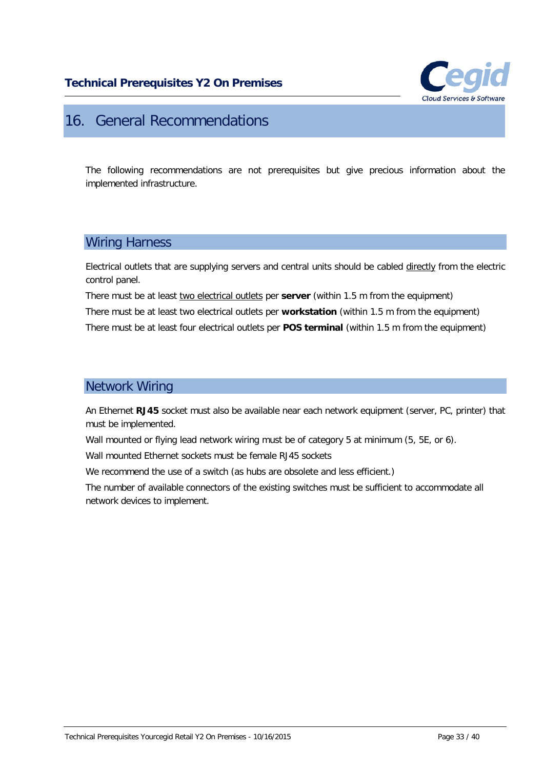

## <span id="page-32-0"></span>16. General Recommendations

The following recommendations are not prerequisites but give precious information about the implemented infrastructure.

### <span id="page-32-1"></span>Wiring Harness

Electrical outlets that are supplying servers and central units should be cabled directly from the electric control panel.

There must be at least two electrical outlets per **server** (within 1.5 m from the equipment)

There must be at least two electrical outlets per **workstation** (within 1.5 m from the equipment)

<span id="page-32-2"></span>There must be at least four electrical outlets per **POS terminal** (within 1.5 m from the equipment)

## Network Wiring

An Ethernet **RJ45** socket must also be available near each network equipment (server, PC, printer) that must be implemented.

Wall mounted or flying lead network wiring must be of category 5 at minimum (5, 5E, or 6).

Wall mounted Ethernet sockets must be female RJ45 sockets

We recommend the use of a switch (as hubs are obsolete and less efficient.)

The number of available connectors of the existing switches must be sufficient to accommodate all network devices to implement.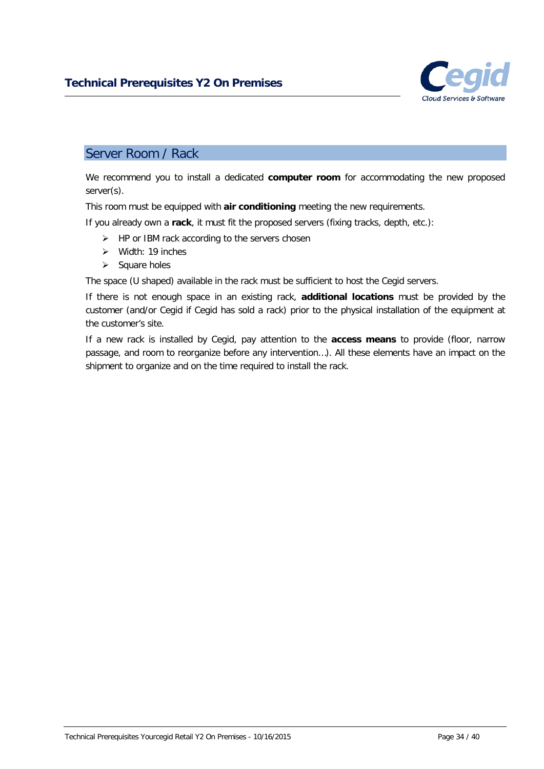

### <span id="page-33-0"></span>Server Room / Rack

We recommend you to install a dedicated **computer room** for accommodating the new proposed server(s).

This room must be equipped with **air conditioning** meeting the new requirements.

If you already own a **rack**, it must fit the proposed servers (fixing tracks, depth, etc.):

- $\triangleright$  HP or IBM rack according to the servers chosen
- $\triangleright$  Width: 19 inches
- $\triangleright$  Square holes

The space (U shaped) available in the rack must be sufficient to host the Cegid servers.

If there is not enough space in an existing rack, **additional locations** must be provided by the customer (and/or Cegid if Cegid has sold a rack) prior to the physical installation of the equipment at the customer's site.

If a new rack is installed by Cegid, pay attention to the **access means** to provide (floor, narrow passage, and room to reorganize before any intervention…). All these elements have an impact on the shipment to organize and on the time required to install the rack.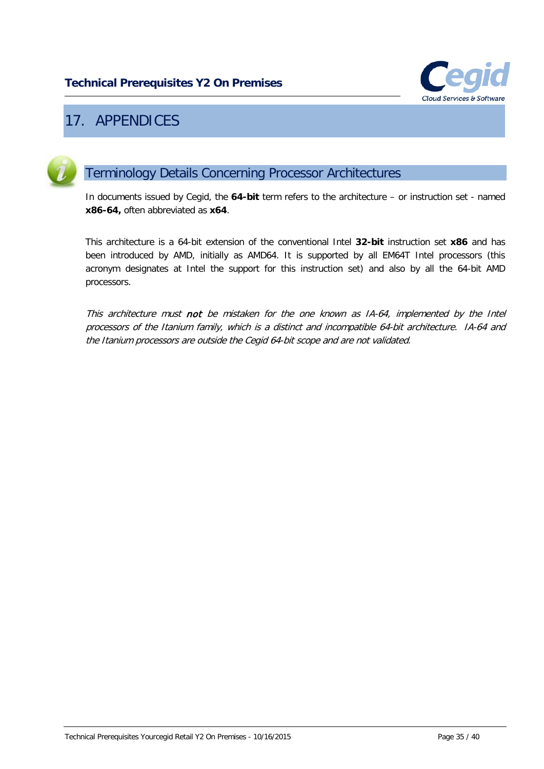

## <span id="page-34-0"></span>17. APPENDICES

<span id="page-34-1"></span>

## Terminology Details Concerning Processor Architectures

In documents issued by Cegid, the **64-bit** term refers to the architecture – or instruction set - named **x86-64,** often abbreviated as **x64**.

This architecture is a 64-bit extension of the conventional Intel **32-bit** instruction set **x86** and has been introduced by AMD, initially as AMD64. It is supported by all EM64T Intel processors (this acronym designates at Intel the support for this instruction set) and also by all the 64-bit AMD processors.

This architecture must not be mistaken for the one known as IA-64, implemented by the Intel processors of the Itanium family, which is a distinct and incompatible 64-bit architecture. IA-64 and the Itanium processors are outside the Cegid 64-bit scope and are not validated.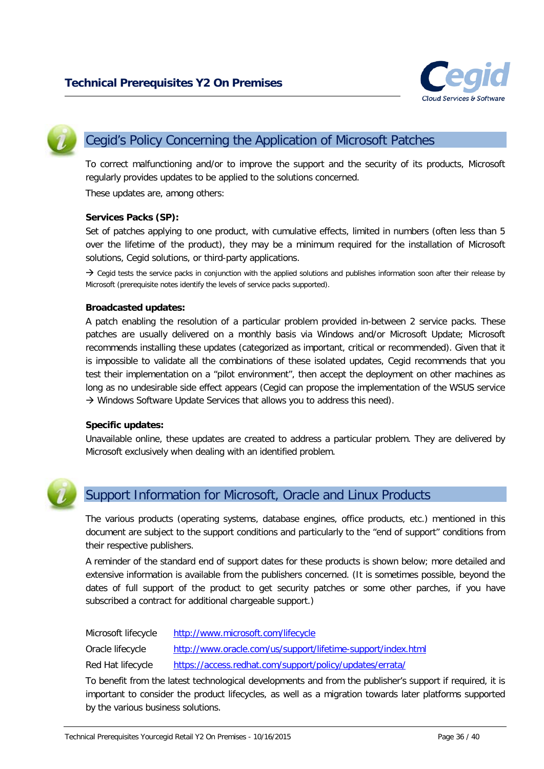

<span id="page-35-0"></span>

## Cegid's Policy Concerning the Application of Microsoft Patches

To correct malfunctioning and/or to improve the support and the security of its products, Microsoft regularly provides updates to be applied to the solutions concerned.

These updates are, among others:

#### **Services Packs (SP):**

Set of patches applying to one product, with cumulative effects, limited in numbers (often less than 5 over the lifetime of the product), they may be a minimum required for the installation of Microsoft solutions, Cegid solutions, or third-party applications.

 $\rightarrow$  Cegid tests the service packs in conjunction with the applied solutions and publishes information soon after their release by Microsoft (prerequisite notes identify the levels of service packs supported).

#### **Broadcasted updates:**

A patch enabling the resolution of a particular problem provided in-between 2 service packs. These patches are usually delivered on a monthly basis via Windows and/or Microsoft Update; Microsoft recommends installing these updates (categorized as important, critical or recommended). Given that it is impossible to validate all the combinations of these isolated updates, Cegid recommends that you test their implementation on a "pilot environment", then accept the deployment on other machines as long as no undesirable side effect appears (Cegid can propose the implementation of the WSUS service  $\rightarrow$  Windows Software Update Services that allows you to address this need).

#### **Specific updates:**

Unavailable online, these updates are created to address a particular problem. They are delivered by Microsoft exclusively when dealing with an identified problem.

<span id="page-35-1"></span>

## Support Information for Microsoft, Oracle and Linux Products

The various products (operating systems, database engines, office products, etc.) mentioned in this document are subject to the support conditions and particularly to the "end of support" conditions from their respective publishers.

A reminder of the standard end of support dates for these products is shown below; more detailed and extensive information is available from the publishers concerned. (It is sometimes possible, beyond the dates of full support of the product to get security patches or some other parches, if you have subscribed a contract for additional chargeable support.)

Microsoft lifecycle <http://www.microsoft.com/lifecycle>

Oracle lifecycle <http://www.oracle.com/us/support/lifetime-support/index.html>

Red Hat lifecycle <https://access.redhat.com/support/policy/updates/errata/>

To benefit from the latest technological developments and from the publisher's support if required, it is important to consider the product lifecycles, as well as a migration towards later platforms supported by the various business solutions.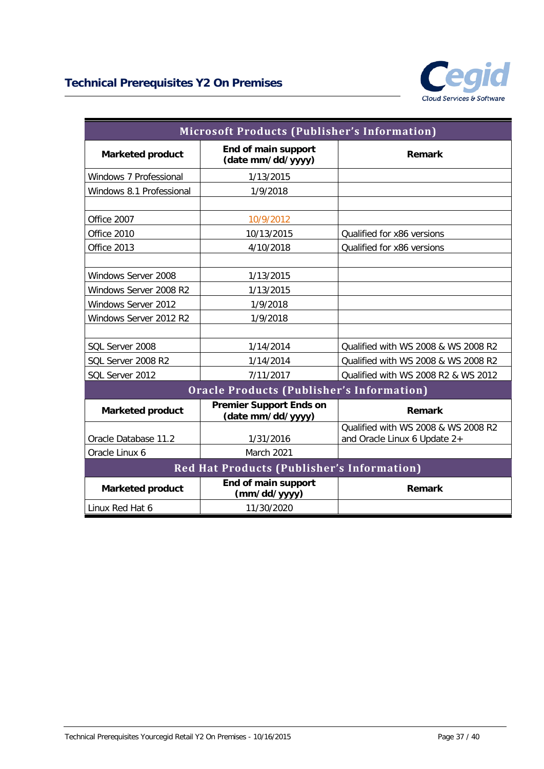

| <b>Microsoft Products (Publisher's Information)</b> |                                                     |                                                                     |  |  |
|-----------------------------------------------------|-----------------------------------------------------|---------------------------------------------------------------------|--|--|
| <b>Marketed product</b>                             | End of main support<br>(date mm/dd/yyyy)            | Remark                                                              |  |  |
| Windows 7 Professional                              | 1/13/2015                                           |                                                                     |  |  |
| Windows 8.1 Professional                            | 1/9/2018                                            |                                                                     |  |  |
|                                                     |                                                     |                                                                     |  |  |
| Office 2007                                         | 10/9/2012                                           |                                                                     |  |  |
| Office 2010                                         | 10/13/2015                                          | Qualified for x86 versions                                          |  |  |
| Office 2013                                         | 4/10/2018                                           | Qualified for x86 versions                                          |  |  |
|                                                     |                                                     |                                                                     |  |  |
| Windows Server 2008                                 | 1/13/2015                                           |                                                                     |  |  |
| Windows Server 2008 R2                              | 1/13/2015                                           |                                                                     |  |  |
| <b>Windows Server 2012</b>                          | 1/9/2018                                            |                                                                     |  |  |
| Windows Server 2012 R2                              | 1/9/2018                                            |                                                                     |  |  |
|                                                     |                                                     |                                                                     |  |  |
| SOL Server 2008                                     | 1/14/2014                                           | Qualified with WS 2008 & WS 2008 R2                                 |  |  |
| SQL Server 2008 R2                                  | 1/14/2014                                           | Qualified with WS 2008 & WS 2008 R2                                 |  |  |
| SQL Server 2012                                     | 7/11/2017                                           | Qualified with WS 2008 R2 & WS 2012                                 |  |  |
| <b>Oracle Products (Publisher's Information)</b>    |                                                     |                                                                     |  |  |
| <b>Marketed product</b>                             | <b>Premier Support Ends on</b><br>(date mm/dd/yyyy) | Remark                                                              |  |  |
| Oracle Database 11.2                                | 1/31/2016                                           | Qualified with WS 2008 & WS 2008 R2<br>and Oracle Linux 6 Update 2+ |  |  |
| Oracle Linux 6                                      | <b>March 2021</b>                                   |                                                                     |  |  |
| Red Hat Products (Publisher's Information)          |                                                     |                                                                     |  |  |
| <b>Marketed product</b>                             | End of main support<br>(mm/dd/yyyy)                 | Remark                                                              |  |  |
| Linux Red Hat 6                                     | 11/30/2020                                          |                                                                     |  |  |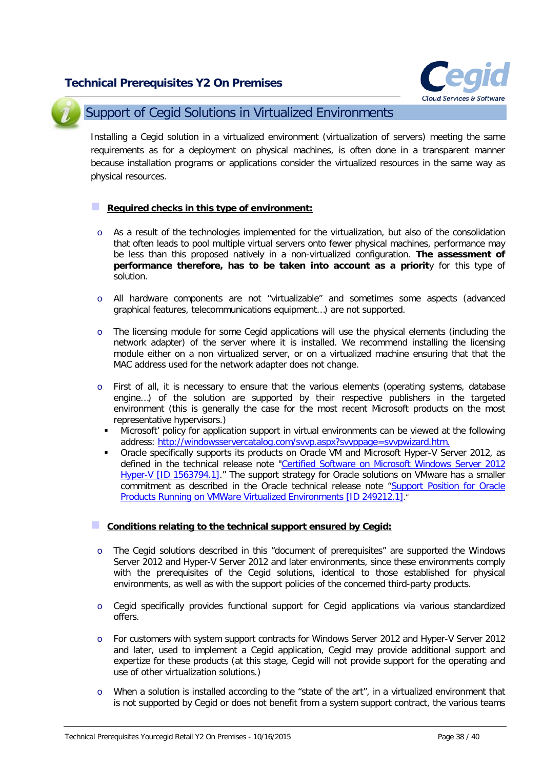

<span id="page-37-0"></span>

## Support of Cegid Solutions in Virtualized Environments

Installing a Cegid solution in a virtualized environment (virtualization of servers) meeting the same requirements as for a deployment on physical machines, is often done in a transparent manner because installation programs or applications consider the virtualized resources in the same way as physical resources.

#### **Required checks in this type of environment:**

- o As a result of the technologies implemented for the virtualization, but also of the consolidation that often leads to pool multiple virtual servers onto fewer physical machines, performance may be less than this proposed natively in a non-virtualized configuration. **The assessment of performance therefore, has to be taken into account as a priorit**y for this type of solution.
- o All hardware components are not "virtualizable" and sometimes some aspects (advanced graphical features, telecommunications equipment…) are not supported.
- o The licensing module for some Cegid applications will use the physical elements (including the network adapter) of the server where it is installed. We recommend installing the licensing module either on a non virtualized server, or on a virtualized machine ensuring that that the MAC address used for the network adapter does not change.
- o First of all, it is necessary to ensure that the various elements (operating systems, database engine…) of the solution are supported by their respective publishers in the targeted environment (this is generally the case for the most recent Microsoft products on the most representative hypervisors.)
	- Microsoft' policy for application support in virtual environments can be viewed at the following address: [http://windowsservercatalog.com/svvp.aspx?svvppage=svvpwizard.htm.](http://windowsservercatalog.com/svvp.aspx?svvppage=svvpwizard.htm)
	- Oracle specifically supports its products on Oracle VM and Microsoft Hyper-V Server 2012, as defined in the technical release note ["Certified Software on Microsoft Windows Server 2012](https://support.oracle.com/epmos/faces/DocumentDisplay?id=1563794.1)  [Hyper-V \[ID 1563794.1\].](https://support.oracle.com/epmos/faces/DocumentDisplay?id=1563794.1)" The support strategy for Oracle solutions on VMware has a smaller commitment as described in the Oracle technical release note ["Support Position for Oracle](https://support.oracle.com/CSP/main/article?cmd=show&type=NOT&id=249212.1)  [Products Running on VMWare Virtualized Environments \[ID 249212.1\]."](https://support.oracle.com/CSP/main/article?cmd=show&type=NOT&id=249212.1)

#### **Conditions relating to the technical support ensured by Cegid:**

- $\circ$  The Cegid solutions described in this "document of prerequisites" are supported the Windows Server 2012 and Hyper-V Server 2012 and later environments, since these environments comply with the prerequisites of the Cegid solutions, identical to those established for physical environments, as well as with the support policies of the concerned third-party products.
- o Cegid specifically provides functional support for Cegid applications via various standardized offers.
- o For customers with system support contracts for Windows Server 2012 and Hyper-V Server 2012 and later, used to implement a Cegid application, Cegid may provide additional support and expertize for these products (at this stage, Cegid will not provide support for the operating and use of other virtualization solutions.)
- o When a solution is installed according to the "state of the art", in a virtualized environment that is not supported by Cegid or does not benefit from a system support contract, the various teams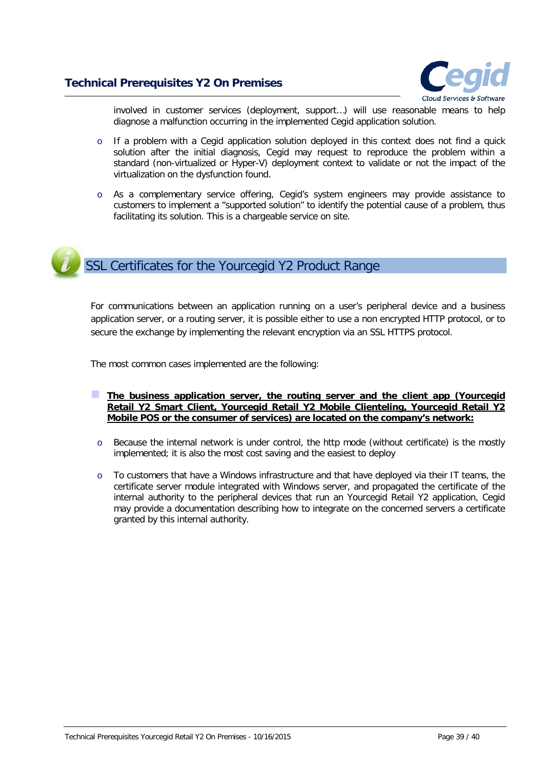

involved in customer services (deployment, support…) will use reasonable means to help diagnose a malfunction occurring in the implemented Cegid application solution.

- $\circ$  If a problem with a Cegid application solution deployed in this context does not find a quick solution after the initial diagnosis, Cegid may request to reproduce the problem within a standard (non-virtualized or Hyper-V) deployment context to validate or not the impact of the virtualization on the dysfunction found.
- o As a complementary service offering, Cegid's system engineers may provide assistance to customers to implement a "supported solution" to identify the potential cause of a problem, thus facilitating its solution. This is a chargeable service on site.

# <span id="page-38-0"></span>SSL Certificates for the Yourcegid Y2 Product Range

For communications between an application running on a user's peripheral device and a business application server, or a routing server, it is possible either to use a non encrypted HTTP protocol, or to secure the exchange by implementing the relevant encryption via an SSL HTTPS protocol.

The most common cases implemented are the following:

- **The business application server, the routing server and the client app (Yourcegid Retail Y2 Smart Client, Yourcegid Retail Y2 Mobile Clienteling, Yourcegid Retail Y2 Mobile POS or the consumer of services) are located on the company's network:**
- o Because the internal network is under control, the http mode (without certificate) is the mostly implemented; it is also the most cost saving and the easiest to deploy
- o To customers that have a Windows infrastructure and that have deployed via their IT teams, the certificate server module integrated with Windows server, and propagated the certificate of the internal authority to the peripheral devices that run an Yourcegid Retail Y2 application, Cegid may provide a documentation describing how to integrate on the concerned servers a certificate granted by this internal authority.